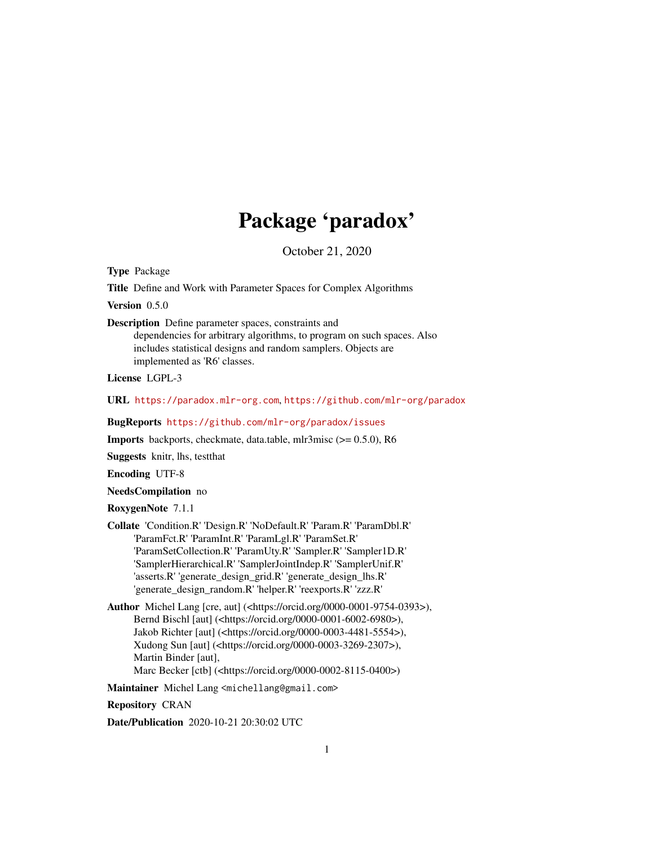# Package 'paradox'

October 21, 2020

<span id="page-0-0"></span>Type Package

Title Define and Work with Parameter Spaces for Complex Algorithms

Version 0.5.0

Description Define parameter spaces, constraints and

dependencies for arbitrary algorithms, to program on such spaces. Also includes statistical designs and random samplers. Objects are implemented as 'R6' classes.

License LGPL-3

URL <https://paradox.mlr-org.com>, <https://github.com/mlr-org/paradox>

BugReports <https://github.com/mlr-org/paradox/issues>

Imports backports, checkmate, data.table, mlr3misc (>= 0.5.0), R6

Suggests knitr, lhs, testthat

Encoding UTF-8

NeedsCompilation no

RoxygenNote 7.1.1

Collate 'Condition.R' 'Design.R' 'NoDefault.R' 'Param.R' 'ParamDbl.R' 'ParamFct.R' 'ParamInt.R' 'ParamLgl.R' 'ParamSet.R' 'ParamSetCollection.R' 'ParamUty.R' 'Sampler.R' 'Sampler1D.R' 'SamplerHierarchical.R' 'SamplerJointIndep.R' 'SamplerUnif.R' 'asserts.R' 'generate\_design\_grid.R' 'generate\_design\_lhs.R' 'generate\_design\_random.R' 'helper.R' 'reexports.R' 'zzz.R'

Author Michel Lang [cre, aut] (<https://orcid.org/0000-0001-9754-0393>), Bernd Bischl [aut] (<https://orcid.org/0000-0001-6002-6980>), Jakob Richter [aut] (<https://orcid.org/0000-0003-4481-5554>), Xudong Sun [aut] (<https://orcid.org/0000-0003-3269-2307>), Martin Binder [aut], Marc Becker [ctb] (<https://orcid.org/0000-0002-8115-0400>)

Maintainer Michel Lang <michellang@gmail.com>

Repository CRAN

Date/Publication 2020-10-21 20:30:02 UTC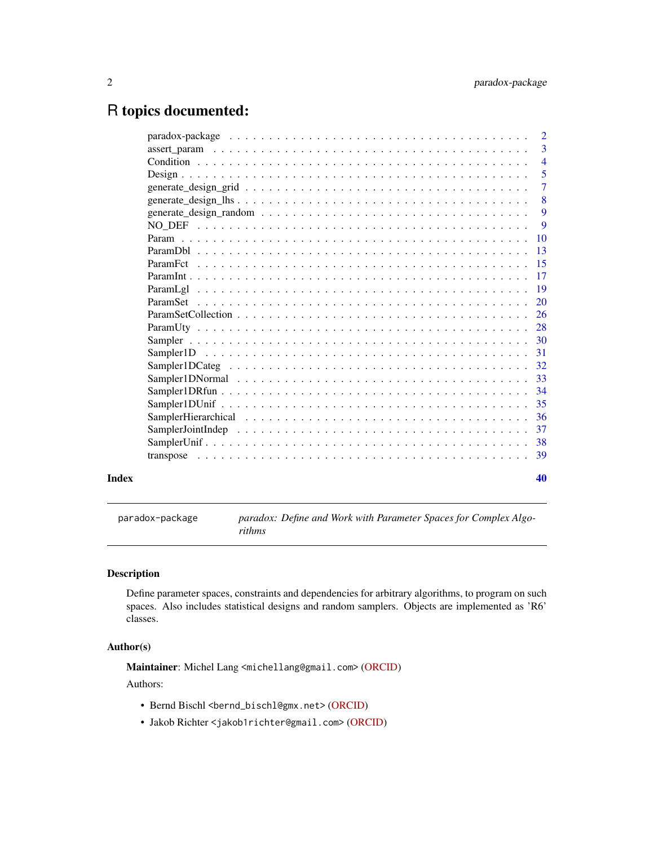# <span id="page-1-0"></span>R topics documented:

|  | $\overline{3}$             |
|--|----------------------------|
|  | $\overline{4}$             |
|  | $\overline{\phantom{0}}$ 5 |
|  | $\overline{7}$             |
|  | 8                          |
|  | -9                         |
|  | 9                          |
|  |                            |
|  | $-13$                      |
|  |                            |
|  |                            |
|  |                            |
|  |                            |
|  |                            |
|  |                            |
|  |                            |
|  |                            |
|  |                            |
|  |                            |
|  |                            |
|  |                            |
|  |                            |
|  |                            |
|  |                            |
|  |                            |
|  | 40                         |

paradox-package *paradox: Define and Work with Parameter Spaces for Complex Algorithms*

# Description

Define parameter spaces, constraints and dependencies for arbitrary algorithms, to program on such spaces. Also includes statistical designs and random samplers. Objects are implemented as 'R6' classes.

#### Author(s)

Maintainer: Michel Lang <michellang@gmail.com> [\(ORCID\)](https://orcid.org/0000-0001-9754-0393)

Authors:

- Bernd Bischl <br/>bernd\_bischl@gmx.net> [\(ORCID\)](https://orcid.org/0000-0001-6002-6980)
- Jakob Richter <jakob1richter@gmail.com> [\(ORCID\)](https://orcid.org/0000-0003-4481-5554)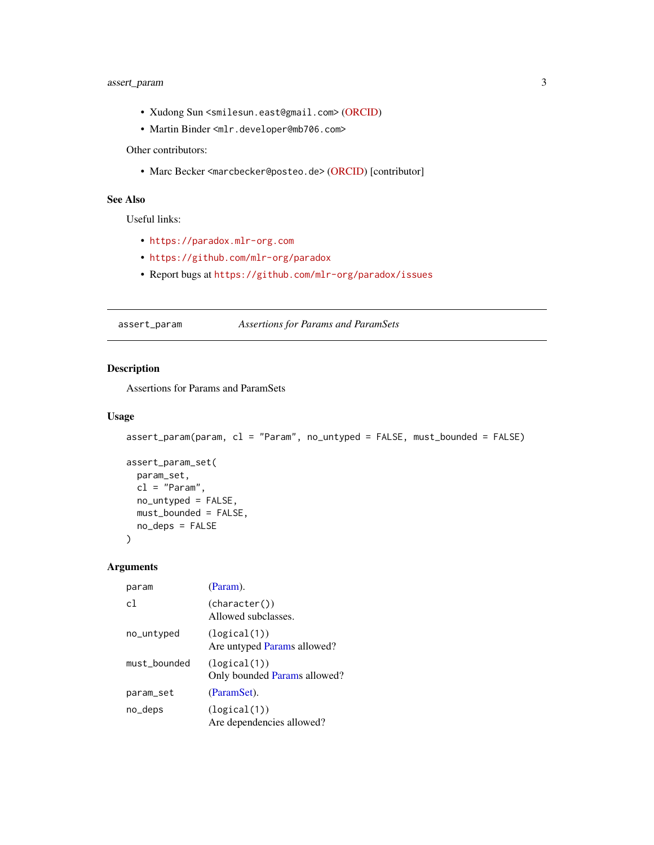# <span id="page-2-0"></span>assert\_param 3

- Xudong Sun <smilesun.east@gmail.com> [\(ORCID\)](https://orcid.org/0000-0003-3269-2307)
- Martin Binder <mlr.developer@mb706.com>

Other contributors:

• Marc Becker <marcbecker@posteo.de> [\(ORCID\)](https://orcid.org/0000-0002-8115-0400) [contributor]

# See Also

Useful links:

- <https://paradox.mlr-org.com>
- <https://github.com/mlr-org/paradox>
- Report bugs at <https://github.com/mlr-org/paradox/issues>

assert\_param *Assertions for Params and ParamSets*

# Description

Assertions for Params and ParamSets

# Usage

```
assert_param(param, cl = "Param", no_untyped = FALSE, must_bounded = FALSE)
```

```
assert_param_set(
 param_set,
 cl = "Param",no_untyped = FALSE,
 must_bounded = FALSE,
 no_deps = FALSE
\mathcal{L}
```
#### Arguments

| param          | (Param).                                     |
|----------------|----------------------------------------------|
| c <sub>1</sub> | (character())<br>Allowed subclasses.         |
| no_untyped     | (logical(1))<br>Are untyped Params allowed?  |
| must bounded   | (logical(1))<br>Only bounded Params allowed? |
| param_set      | (ParamSet).                                  |
| no_deps        | (logical(1))<br>Are dependencies allowed?    |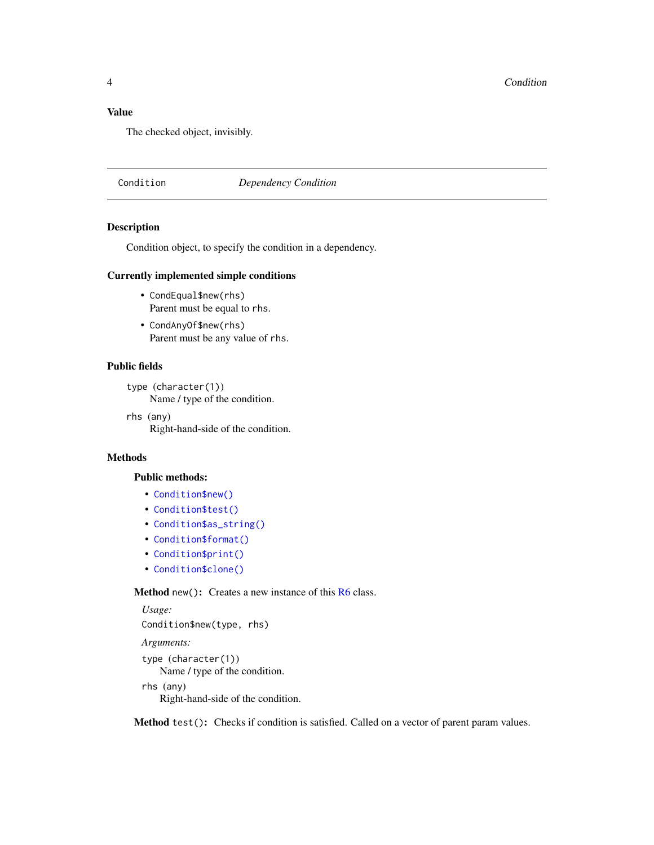# <span id="page-3-0"></span>Value

The checked object, invisibly.

<span id="page-3-3"></span>Condition *Dependency Condition*

#### Description

Condition object, to specify the condition in a dependency.

# Currently implemented simple conditions

- CondEqual\$new(rhs) Parent must be equal to rhs.
- CondAnyOf\$new(rhs) Parent must be any value of rhs.

# Public fields

type (character(1)) Name / type of the condition.

rhs (any)

Right-hand-side of the condition.

# Methods

# Public methods:

- [Condition\\$new\(\)](#page-3-1)
- [Condition\\$test\(\)](#page-3-2)
- [Condition\\$as\\_string\(\)](#page-4-1)
- [Condition\\$format\(\)](#page-4-2)
- [Condition\\$print\(\)](#page-4-3)
- [Condition\\$clone\(\)](#page-4-4)

# <span id="page-3-1"></span>Method new(): Creates a new instance of this [R6](#page-0-0) class.

*Usage:* Condition\$new(type, rhs) *Arguments:* type (character(1)) Name / type of the condition. rhs (any) Right-hand-side of the condition.

<span id="page-3-2"></span>Method test(): Checks if condition is satisfied. Called on a vector of parent param values.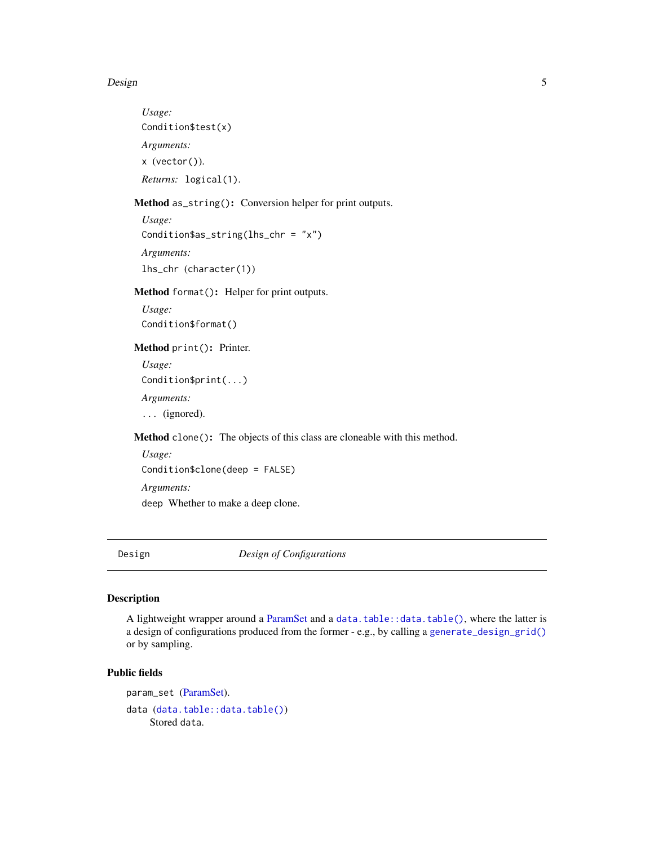#### <span id="page-4-0"></span>Design 55 September 2014 and 2014 and 2014 and 2014 and 2014 and 2014 and 2014 and 2014 and 2014 and 2014 and 2014 and 2014 and 2014 and 2014 and 2014 and 2014 and 2014 and 2014 and 2014 and 2014 and 2014 and 2014 and 2014

*Usage:* Condition\$test(x) *Arguments:* x (vector()). *Returns:* logical(1).

<span id="page-4-1"></span>Method as\_string(): Conversion helper for print outputs.

*Usage:* Condition\$as\_string(lhs\_chr = "x") *Arguments:* lhs\_chr (character(1))

<span id="page-4-2"></span>Method format(): Helper for print outputs.

*Usage:* Condition\$format()

<span id="page-4-3"></span>Method print(): Printer.

*Usage:* Condition\$print(...) *Arguments:* ... (ignored).

<span id="page-4-4"></span>Method clone(): The objects of this class are cloneable with this method.

*Usage:* Condition\$clone(deep = FALSE) *Arguments:* deep Whether to make a deep clone.

<span id="page-4-5"></span>Design *Design of Configurations*

# Description

A lightweight wrapper around a [ParamSet](#page-19-1) and a [data.table::data.table\(\)](#page-0-0), where the latter is a design of configurations produced from the former - e.g., by calling a [generate\\_design\\_grid\(\)](#page-6-1) or by sampling.

# Public fields

param\_set [\(ParamSet\)](#page-19-1). data ([data.table::data.table\(\)](#page-0-0)) Stored data.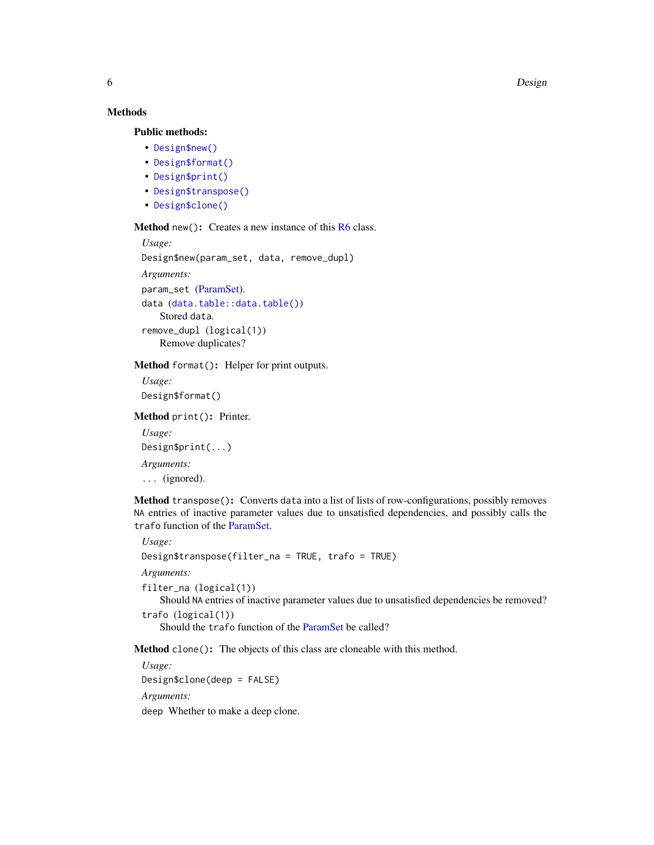<span id="page-5-1"></span>6 Design

# Methods

# Public methods:

- [Design\\$new\(\)](#page-3-1)
- [Design\\$format\(\)](#page-4-2)
- [Design\\$print\(\)](#page-4-3)
- [Design\\$transpose\(\)](#page-5-0)
- [Design\\$clone\(\)](#page-4-4)

Method new(): Creates a new instance of this [R6](#page-0-0) class.

```
Usage:
Design$new(param_set, data, remove_dupl)
Arguments:
param_set (ParamSet).
data (data.table::data.table())
   Stored data.
remove_dupl (logical(1))
   Remove duplicates?
```
#### Method format(): Helper for print outputs.

*Usage:* Design\$format()

Method print(): Printer.

*Usage:* Design\$print(...) *Arguments:* ... (ignored).

<span id="page-5-0"></span>Method transpose(): Converts data into a list of lists of row-configurations, possibly removes NA entries of inactive parameter values due to unsatisfied dependencies, and possibly calls the trafo function of the [ParamSet.](#page-19-1)

*Usage:*

Design\$transpose(filter\_na = TRUE, trafo = TRUE)

*Arguments:*

filter\_na (logical(1))

Should NA entries of inactive parameter values due to unsatisfied dependencies be removed? trafo (logical(1))

Should the trafo function of the [ParamSet](#page-19-1) be called?

Method clone(): The objects of this class are cloneable with this method.

*Usage:*

Design\$clone(deep = FALSE)

*Arguments:*

deep Whether to make a deep clone.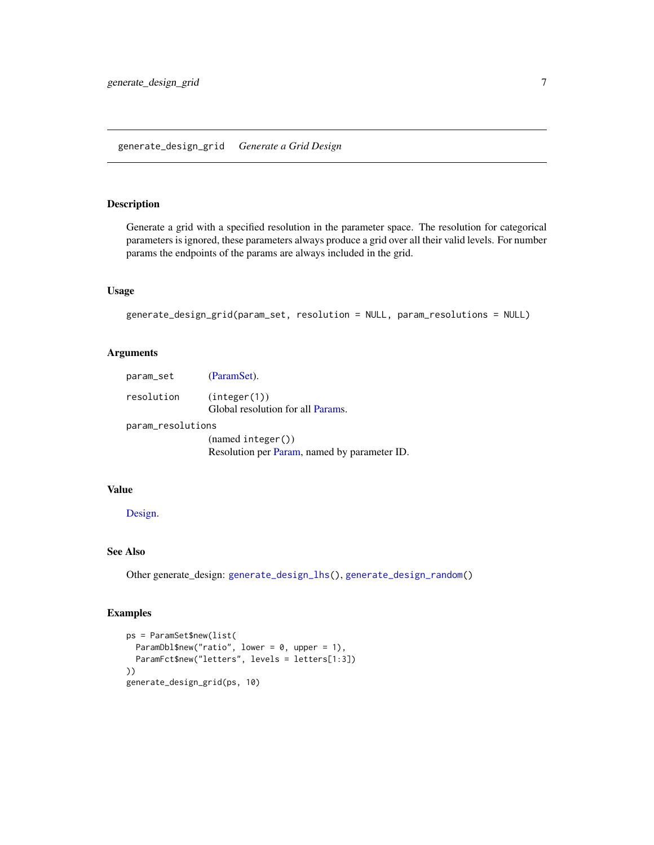# <span id="page-6-1"></span><span id="page-6-0"></span>Description

Generate a grid with a specified resolution in the parameter space. The resolution for categorical parameters is ignored, these parameters always produce a grid over all their valid levels. For number params the endpoints of the params are always included in the grid.

# Usage

```
generate_design_grid(param_set, resolution = NULL, param_resolutions = NULL)
```
# Arguments

| param_set         | (ParamSet).                                       |  |  |  |  |
|-------------------|---------------------------------------------------|--|--|--|--|
| resolution        | (integer(1))<br>Global resolution for all Params. |  |  |  |  |
| param_resolutions |                                                   |  |  |  |  |
|                   | (nomodintexc <sub>n</sub> )                       |  |  |  |  |

(named integer()) Resolution per [Param,](#page-9-1) named by parameter ID.

#### Value

# [Design.](#page-4-5)

# See Also

Other generate\_design: [generate\\_design\\_lhs\(](#page-7-1)), [generate\\_design\\_random\(](#page-8-1))

# Examples

```
ps = ParamSet$new(list(
  ParamDbl$new("ratio", lower = 0, upper = 1),
  ParamFct$new("letters", levels = letters[1:3])
))
generate_design_grid(ps, 10)
```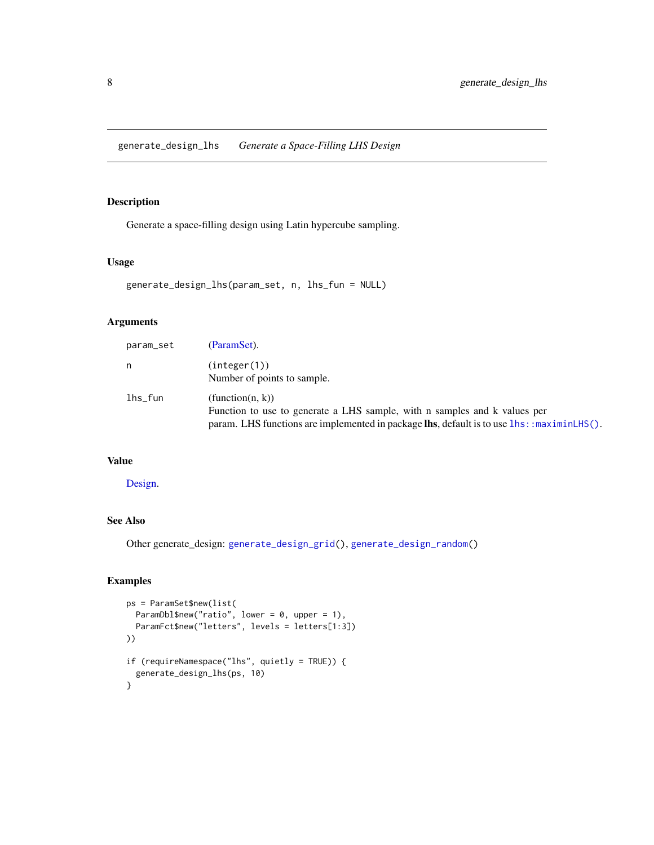<span id="page-7-1"></span><span id="page-7-0"></span>generate\_design\_lhs *Generate a Space-Filling LHS Design*

# Description

Generate a space-filling design using Latin hypercube sampling.

#### Usage

```
generate_design_lhs(param_set, n, lhs_fun = NULL)
```
# Arguments

| param_set  | (ParamSet).                                                                                                     |
|------------|-----------------------------------------------------------------------------------------------------------------|
| n          | (integer(1))                                                                                                    |
|            | Number of points to sample.                                                                                     |
| $lhs_f$ un | (function(n, k))                                                                                                |
|            | Function to use to generate a LHS sample, with n samples and k values per                                       |
|            | param. LHS functions are implemented in package $\text{lhs}$ , default is to use $\text{lhs}$ : : maximinLHS(). |

# Value

[Design.](#page-4-5)

# See Also

Other generate\_design: [generate\\_design\\_grid\(](#page-6-1)), [generate\\_design\\_random\(](#page-8-1))

# Examples

```
ps = ParamSet$new(list(
 ParamDbl$new("ratio", lower = 0, upper = 1),
  ParamFct$new("letters", levels = letters[1:3])
))
if (requireNamespace("lhs", quietly = TRUE)) {
  generate_design_lhs(ps, 10)
}
```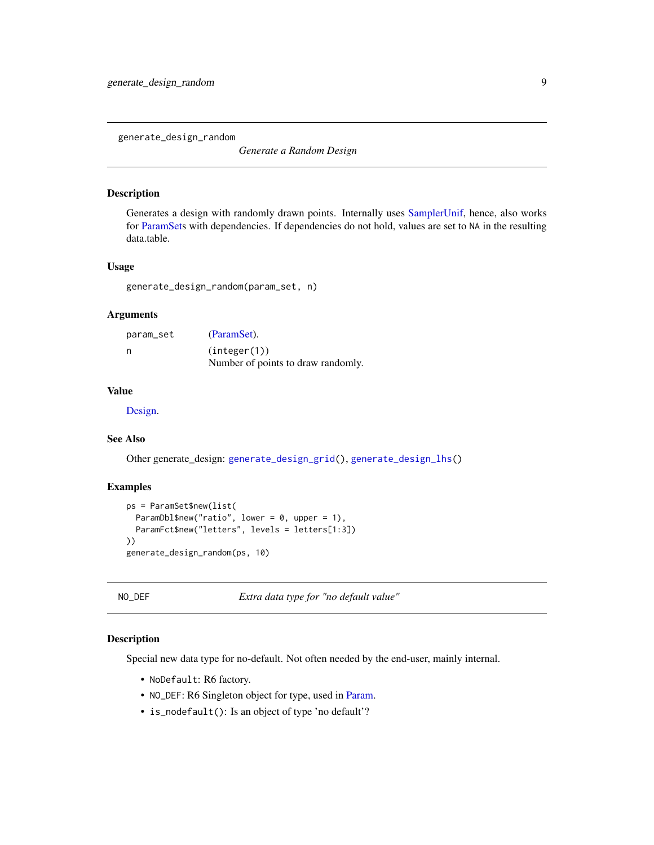<span id="page-8-1"></span><span id="page-8-0"></span>generate\_design\_random

*Generate a Random Design*

# Description

Generates a design with randomly drawn points. Internally uses [SamplerUnif,](#page-37-1) hence, also works for [ParamSets](#page-19-1) with dependencies. If dependencies do not hold, values are set to NA in the resulting data.table.

# Usage

```
generate_design_random(param_set, n)
```
#### Arguments

| param_set | (ParamSet).                        |  |
|-----------|------------------------------------|--|
| n         | (integer(1))                       |  |
|           | Number of points to draw randomly. |  |

# Value

[Design.](#page-4-5)

# See Also

Other generate\_design: [generate\\_design\\_grid\(](#page-6-1)), [generate\\_design\\_lhs\(](#page-7-1))

# Examples

```
ps = ParamSet$new(list(
  ParamDbl$new("ratio", lower = 0, upper = 1),
  ParamFct$new("letters", levels = letters[1:3])
))
generate_design_random(ps, 10)
```
NO\_DEF *Extra data type for "no default value"*

# Description

Special new data type for no-default. Not often needed by the end-user, mainly internal.

- NoDefault: R6 factory.
- NO\_DEF: R6 Singleton object for type, used in [Param.](#page-9-1)
- is\_nodefault(): Is an object of type 'no default'?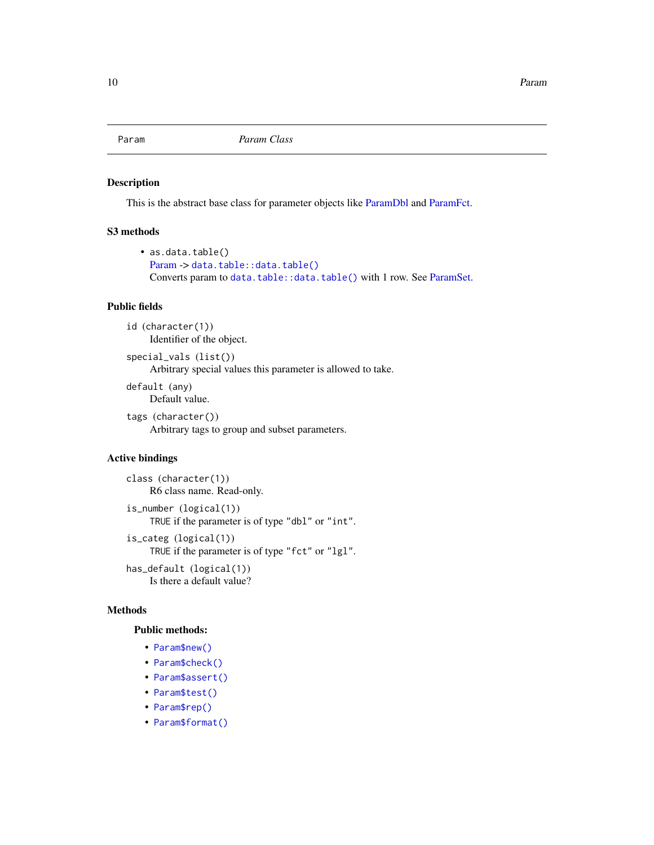<span id="page-9-1"></span><span id="page-9-0"></span>

#### Description

This is the abstract base class for parameter objects like [ParamDbl](#page-12-1) and [ParamFct.](#page-14-1)

# S3 methods

```
• as.data.table()
 Paramdata.table::data.table()
 data.table::data.table()ParamSet.
```
# Public fields

```
id (character(1))
     Identifier of the object.
```
special\_vals (list()) Arbitrary special values this parameter is allowed to take.

default (any) Default value.

tags (character())

Arbitrary tags to group and subset parameters.

# Active bindings

```
class (character(1))
    R6 class name. Read-only.
```

```
is_number (logical(1))
    TRUE if the parameter is of type "dbl" or "int".
is_categ (logical(1))
    TRUE if the parameter is of type "fct" or "lgl".
```
has\_default (logical(1)) Is there a default value?

# Methods

# Public methods:

- [Param\\$new\(\)](#page-3-1)
- [Param\\$check\(\)](#page-10-0)
- [Param\\$assert\(\)](#page-10-1)
- [Param\\$test\(\)](#page-3-2)
- [Param\\$rep\(\)](#page-11-0)
- [Param\\$format\(\)](#page-4-2)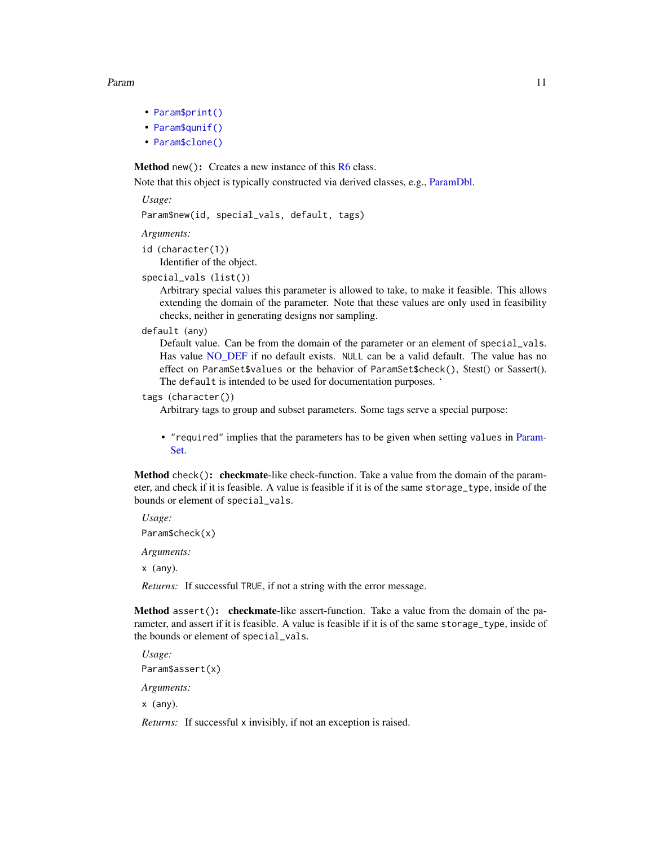#### <span id="page-10-2"></span>Param 2008 and 2008 and 2008 and 2008 and 2008 and 2008 and 2008 and 2008 and 2008 and 2008 and 2008 and 2008 and 2008 and 2008 and 2008 and 2008 and 2008 and 2008 and 2008 and 2008 and 2008 and 2008 and 2008 and 2008 and

- [Param\\$print\(\)](#page-4-3)
- [Param\\$qunif\(\)](#page-11-1)
- [Param\\$clone\(\)](#page-4-4)

**Method** new(): Creates a new instance of this  $R6$  class.

Note that this object is typically constructed via derived classes, e.g., [ParamDbl.](#page-12-1)

*Usage:*

Param\$new(id, special\_vals, default, tags)

*Arguments:*

- id (character(1)) Identifier of the object.
- special\_vals (list())

Arbitrary special values this parameter is allowed to take, to make it feasible. This allows extending the domain of the parameter. Note that these values are only used in feasibility checks, neither in generating designs nor sampling.

default (any)

Default value. Can be from the domain of the parameter or an element of special\_vals. Has value [NO\\_DEF](#page-8-2) if no default exists. NULL can be a valid default. The value has no effect on ParamSet\$values or the behavior of ParamSet\$check(), \$test() or \$assert(). The default is intended to be used for documentation purposes. '

```
tags (character())
```
Arbitrary tags to group and subset parameters. Some tags serve a special purpose:

• "required" implies that the parameters has to be given when setting values in [Param-](#page-19-1)[Set.](#page-19-1)

<span id="page-10-0"></span>Method check(): checkmate-like check-function. Take a value from the domain of the parameter, and check if it is feasible. A value is feasible if it is of the same storage\_type, inside of the bounds or element of special\_vals.

*Usage:* Param\$check(x) *Arguments:*

x (any).

*Returns:* If successful TRUE, if not a string with the error message.

<span id="page-10-1"></span>Method assert(): checkmate-like assert-function. Take a value from the domain of the parameter, and assert if it is feasible. A value is feasible if it is of the same storage\_type, inside of the bounds or element of special\_vals.

*Usage:* Param\$assert(x)

*Arguments:*

x (any).

*Returns:* If successful x invisibly, if not an exception is raised.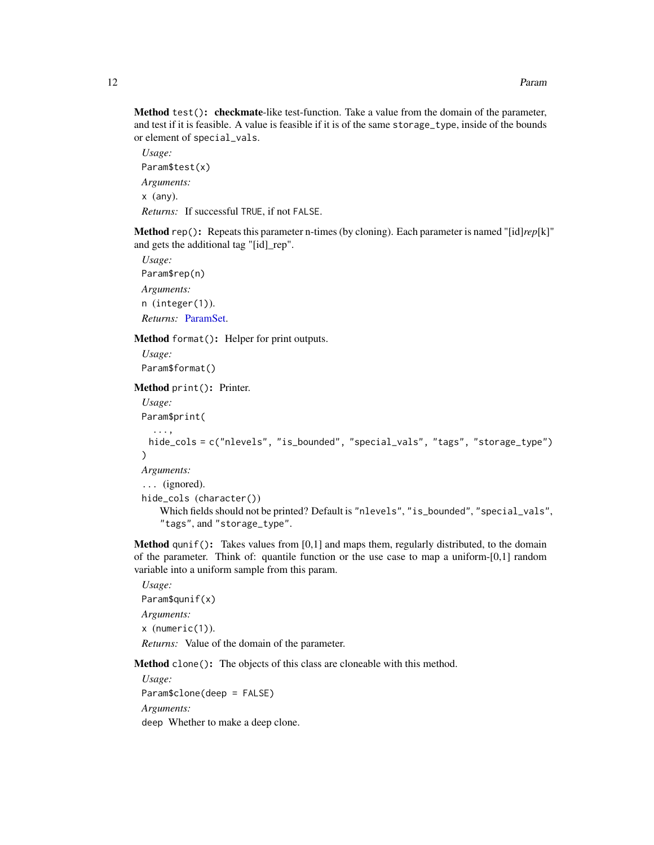<span id="page-11-2"></span>Method test(): checkmate-like test-function. Take a value from the domain of the parameter, and test if it is feasible. A value is feasible if it is of the same storage\_type, inside of the bounds or element of special\_vals.

*Usage:* Param\$test(x) *Arguments:* x (any). *Returns:* If successful TRUE, if not FALSE.

<span id="page-11-0"></span>Method rep(): Repeats this parameter n-times (by cloning). Each parameter is named "[id]*rep*[k]" and gets the additional tag "[id]\_rep".

*Usage:* Param\$rep(n) *Arguments:* n (integer(1)). *Returns:* [ParamSet.](#page-19-1)

Method format(): Helper for print outputs.

*Usage:* Param\$format()

Method print(): Printer.

```
Usage:
Param$print(
  ...,
 hide_cols = c("nlevels", "is_bounded", "special_vals", "tags", "storage_type")
)
Arguments:
... (ignored).
hide_cols (character())
   Which fields should not be printed? Default is "nlevels", "is_bounded", "special_vals",
    "tags", and "storage_type".
```
<span id="page-11-1"></span>**Method** qunif(): Takes values from  $[0,1]$  and maps them, regularly distributed, to the domain of the parameter. Think of: quantile function or the use case to map a uniform- $[0,1]$  random variable into a uniform sample from this param.

*Usage:* Param\$qunif(x) *Arguments:* x (numeric(1)). *Returns:* Value of the domain of the parameter.

Method clone(): The objects of this class are cloneable with this method.

*Usage:* Param\$clone(deep = FALSE) *Arguments:* deep Whether to make a deep clone.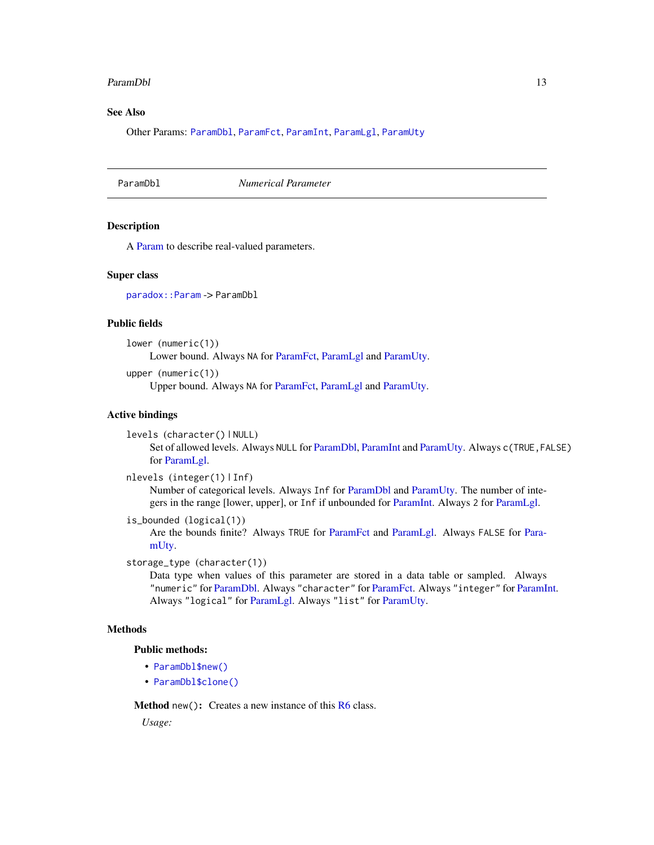#### <span id="page-12-0"></span>ParamDbl 13

# See Also

Other Params: [ParamDbl](#page-12-1), [ParamFct](#page-14-1), [ParamInt](#page-16-1), [ParamLgl](#page-18-1), [ParamUty](#page-27-1)

<span id="page-12-1"></span>ParamDbl *Numerical Parameter*

#### Description

A [Param](#page-9-1) to describe real-valued parameters.

#### Super class

[paradox::Param](#page-0-0) -> ParamDbl

# Public fields

lower (numeric(1)) Lower bound. Always NA for [ParamFct,](#page-14-1) [ParamLgl](#page-18-1) and [ParamUty.](#page-27-1)

upper (numeric(1))

Upper bound. Always NA for [ParamFct,](#page-14-1) [ParamLgl](#page-18-1) and [ParamUty.](#page-27-1)

# Active bindings

levels (character() | NULL)

Set of allowed levels. Always NULL for [ParamDbl,](#page-12-1) [ParamInt](#page-16-1) and [ParamUty.](#page-27-1) Always c(TRUE,FALSE) for [ParamLgl.](#page-18-1)

nlevels (integer(1) | Inf)

Number of categorical levels. Always Inf for [ParamDbl](#page-12-1) and [ParamUty.](#page-27-1) The number of integers in the range [lower, upper], or Inf if unbounded for [ParamInt.](#page-16-1) Always 2 for [ParamLgl.](#page-18-1)

```
is_bounded (logical(1))
```
Are the bounds finite? Always TRUE for [ParamFct](#page-14-1) and [ParamLgl.](#page-18-1) Always FALSE for [Para](#page-27-1)[mUty.](#page-27-1)

storage\_type (character(1))

Data type when values of this parameter are stored in a data table or sampled. Always "numeric" for [ParamDbl.](#page-12-1) Always "character" for [ParamFct.](#page-14-1) Always "integer" for [ParamInt.](#page-16-1) Always "logical" for [ParamLgl.](#page-18-1) Always "list" for [ParamUty.](#page-27-1)

# **Methods**

# Public methods:

- [ParamDbl\\$new\(\)](#page-3-1)
- [ParamDbl\\$clone\(\)](#page-4-4)

**Method** new( $)$ : Creates a new instance of this  $R6$  class.

*Usage:*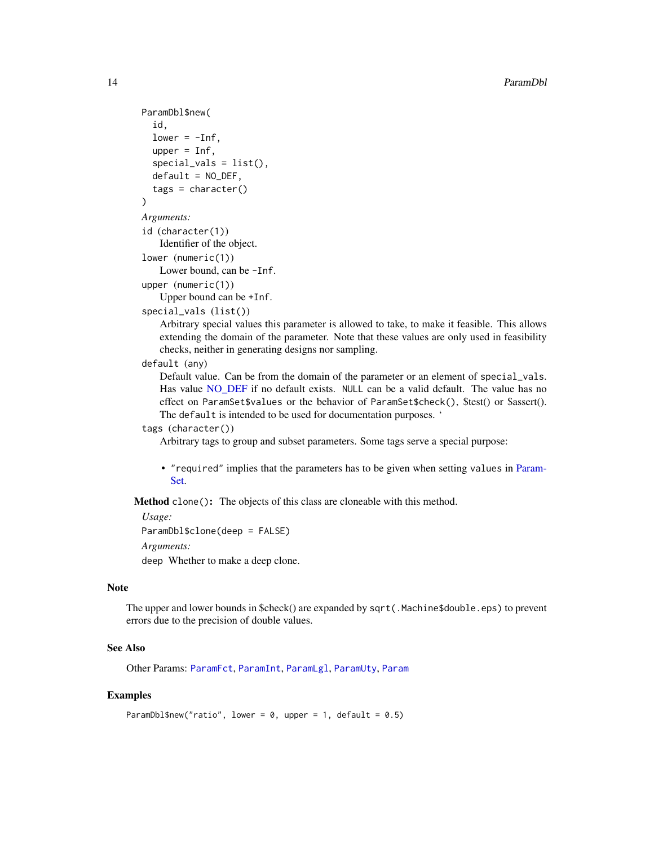```
ParamDbl$new(
  id,
  lower = -Inf,upper = Inf,
  special_values = list(),default = NO_DEF,tags = character()\lambdaArguments:
id (character(1))
   Identifier of the object.
```
lower (numeric(1))

Lower bound, can be -Inf.

```
upper (numeric(1))
```

```
Upper bound can be +Inf.
```

```
special_vals (list())
```
Arbitrary special values this parameter is allowed to take, to make it feasible. This allows extending the domain of the parameter. Note that these values are only used in feasibility checks, neither in generating designs nor sampling.

# default (any)

Default value. Can be from the domain of the parameter or an element of special\_vals. Has value [NO\\_DEF](#page-8-2) if no default exists. NULL can be a valid default. The value has no effect on ParamSet\$values or the behavior of ParamSet\$check(), \$test() or \$assert(). The default is intended to be used for documentation purposes. '

# tags (character())

Arbitrary tags to group and subset parameters. Some tags serve a special purpose:

• "required" implies that the parameters has to be given when setting values in [Param-](#page-19-1)[Set.](#page-19-1)

Method clone(): The objects of this class are cloneable with this method.

```
Usage:
```
ParamDbl\$clone(deep = FALSE)

*Arguments:*

deep Whether to make a deep clone.

# Note

The upper and lower bounds in \$check() are expanded by sqrt(.Machine\$double.eps) to prevent errors due to the precision of double values.

# See Also

Other Params: [ParamFct](#page-14-1), [ParamInt](#page-16-1), [ParamLgl](#page-18-1), [ParamUty](#page-27-1), [Param](#page-9-1)

# Examples

```
ParamDbl$new("ratio", lower = 0, upper = 1, default = 0.5)
```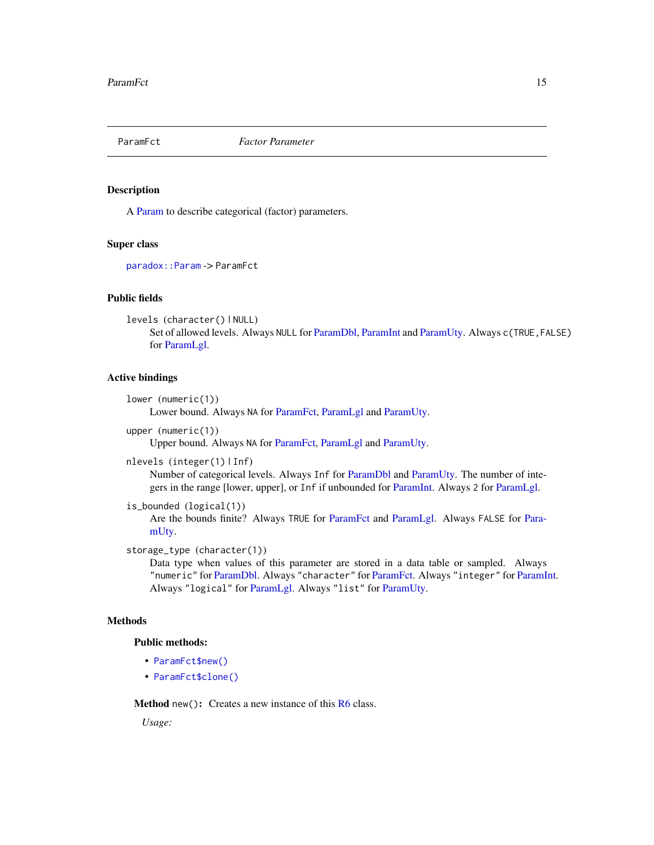<span id="page-14-1"></span><span id="page-14-0"></span>

#### Description

A [Param](#page-9-1) to describe categorical (factor) parameters.

# Super class

[paradox::Param](#page-0-0) -> ParamFct

# Public fields

```
levels (character() | NULL)
     Set of allowed levels. Always NULL for ParamDbl, ParamInt and ParamUty. Always c(TRUE,FALSE)
     for ParamLgl.
```
#### Active bindings

```
lower (numeric(1))
```
Lower bound. Always NA for [ParamFct,](#page-14-1) [ParamLgl](#page-18-1) and [ParamUty.](#page-27-1)

```
upper (numeric(1))
```
Upper bound. Always NA for [ParamFct,](#page-14-1) [ParamLgl](#page-18-1) and [ParamUty.](#page-27-1)

```
nlevels (integer(1) | Inf)
```
Number of categorical levels. Always Inf for [ParamDbl](#page-12-1) and [ParamUty.](#page-27-1) The number of integers in the range [lower, upper], or Inf if unbounded for [ParamInt.](#page-16-1) Always 2 for [ParamLgl.](#page-18-1)

```
is_bounded (logical(1))
```
Are the bounds finite? Always TRUE for [ParamFct](#page-14-1) and [ParamLgl.](#page-18-1) Always FALSE for [Para](#page-27-1)[mUty.](#page-27-1)

```
storage_type (character(1))
```
Data type when values of this parameter are stored in a data table or sampled. Always "numeric" for [ParamDbl.](#page-12-1) Always "character" for [ParamFct.](#page-14-1) Always "integer" for [ParamInt.](#page-16-1) Always "logical" for [ParamLgl.](#page-18-1) Always "list" for [ParamUty.](#page-27-1)

# **Methods**

```
Public methods:
```
- [ParamFct\\$new\(\)](#page-3-1)
- [ParamFct\\$clone\(\)](#page-4-4)

Method new(): Creates a new instance of this [R6](#page-0-0) class.

*Usage:*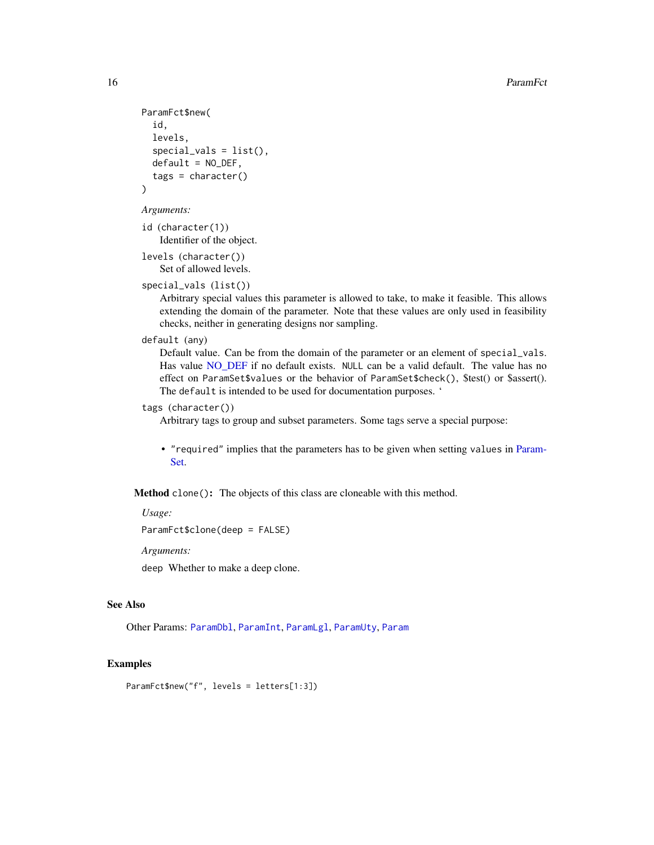```
ParamFct$new(
  id,
  levels,
  special_values = list(),
  default = NO_DEF,tags = character())
```

```
Arguments:
```
id (character(1)) Identifier of the object.

levels (character()) Set of allowed levels.

```
special_vals (list())
```
Arbitrary special values this parameter is allowed to take, to make it feasible. This allows extending the domain of the parameter. Note that these values are only used in feasibility checks, neither in generating designs nor sampling.

```
default (any)
```
Default value. Can be from the domain of the parameter or an element of special\_vals. Has value NO DEF if no default exists. NULL can be a valid default. The value has no effect on ParamSet\$values or the behavior of ParamSet\$check(), \$test() or \$assert(). The default is intended to be used for documentation purposes. '

# tags (character())

Arbitrary tags to group and subset parameters. Some tags serve a special purpose:

• "required" implies that the parameters has to be given when setting values in [Param-](#page-19-1)[Set.](#page-19-1)

Method clone(): The objects of this class are cloneable with this method.

*Usage:*

```
ParamFct$clone(deep = FALSE)
```
*Arguments:*

deep Whether to make a deep clone.

# See Also

Other Params: [ParamDbl](#page-12-1), [ParamInt](#page-16-1), [ParamLgl](#page-18-1), [ParamUty](#page-27-1), [Param](#page-9-1)

# Examples

ParamFct\$new("f", levels = letters[1:3])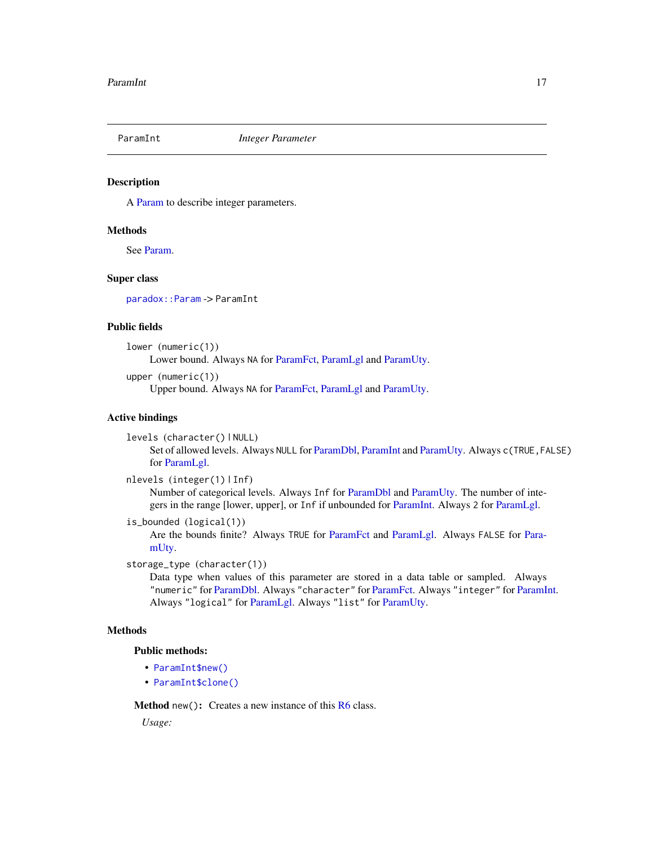<span id="page-16-1"></span><span id="page-16-0"></span>

# Description

A [Param](#page-9-1) to describe integer parameters.

#### Methods

See [Param.](#page-9-1)

# Super class

[paradox::Param](#page-0-0) -> ParamInt

#### Public fields

lower (numeric(1))

Lower bound. Always NA for [ParamFct,](#page-14-1) [ParamLgl](#page-18-1) and [ParamUty.](#page-27-1)

```
upper (numeric(1))
```
Upper bound. Always NA for [ParamFct,](#page-14-1) [ParamLgl](#page-18-1) and [ParamUty.](#page-27-1)

# Active bindings

levels (character() | NULL)

Set of allowed levels. Always NULL for [ParamDbl,](#page-12-1) [ParamInt](#page-16-1) and [ParamUty.](#page-27-1) Always c(TRUE,FALSE) for [ParamLgl.](#page-18-1)

```
nlevels (integer(1) | Inf)
```
Number of categorical levels. Always Inf for [ParamDbl](#page-12-1) and [ParamUty.](#page-27-1) The number of integers in the range [lower, upper], or Inf if unbounded for [ParamInt.](#page-16-1) Always 2 for [ParamLgl.](#page-18-1)

```
is_bounded (logical(1))
```
Are the bounds finite? Always TRUE for [ParamFct](#page-14-1) and [ParamLgl.](#page-18-1) Always FALSE for [Para](#page-27-1)[mUty.](#page-27-1)

storage\_type (character(1))

Data type when values of this parameter are stored in a data table or sampled. Always "numeric" for [ParamDbl.](#page-12-1) Always "character" for [ParamFct.](#page-14-1) Always "integer" for [ParamInt.](#page-16-1) Always "logical" for [ParamLgl.](#page-18-1) Always "list" for [ParamUty.](#page-27-1)

#### Methods

# Public methods:

- [ParamInt\\$new\(\)](#page-3-1)
- [ParamInt\\$clone\(\)](#page-4-4)

Method new(): Creates a new instance of this [R6](#page-0-0) class.

*Usage:*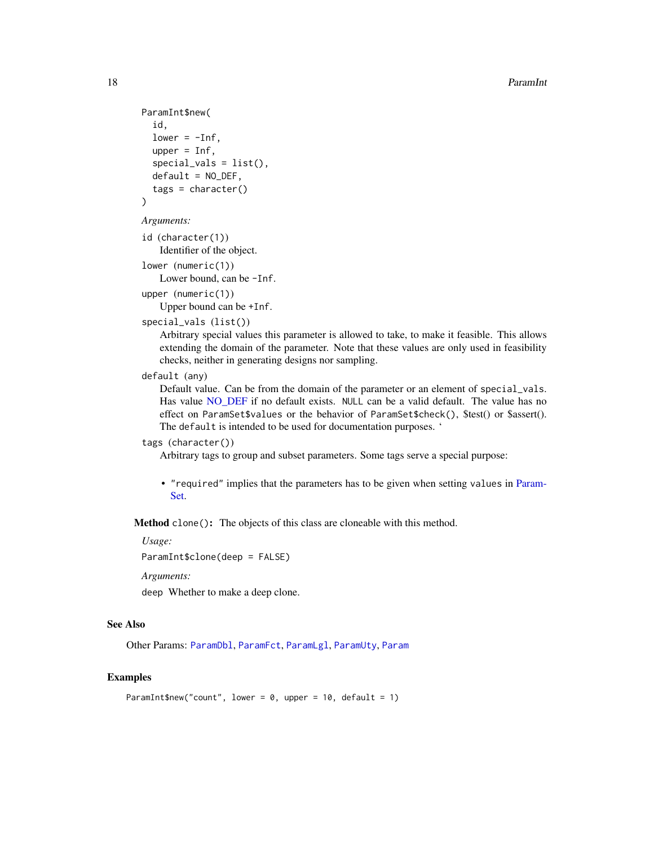```
ParamInt$new(
  id,
  lower = -Inf,upper = Inf,
  special_values = list(),default = NO_DEF,tags = character())
```
*Arguments:*

id (character(1)) Identifier of the object.

```
lower (numeric(1))
```
Lower bound, can be -Inf.

```
upper (numeric(1))
   Upper bound can be +Inf.
```

```
special_vals (list())
```
Arbitrary special values this parameter is allowed to take, to make it feasible. This allows extending the domain of the parameter. Note that these values are only used in feasibility checks, neither in generating designs nor sampling.

# default (any)

Default value. Can be from the domain of the parameter or an element of special\_vals. Has value [NO\\_DEF](#page-8-2) if no default exists. NULL can be a valid default. The value has no effect on ParamSet\$values or the behavior of ParamSet\$check(), \$test() or \$assert(). The default is intended to be used for documentation purposes. '

# tags (character())

Arbitrary tags to group and subset parameters. Some tags serve a special purpose:

• "required" implies that the parameters has to be given when setting values in [Param-](#page-19-1)[Set.](#page-19-1)

Method clone(): The objects of this class are cloneable with this method.

*Usage:*

ParamInt\$clone(deep = FALSE)

*Arguments:*

deep Whether to make a deep clone.

# See Also

Other Params: [ParamDbl](#page-12-1), [ParamFct](#page-14-1), [ParamLgl](#page-18-1), [ParamUty](#page-27-1), [Param](#page-9-1)

# Examples

ParamInt\$new("count", lower =  $0$ , upper = 10, default = 1)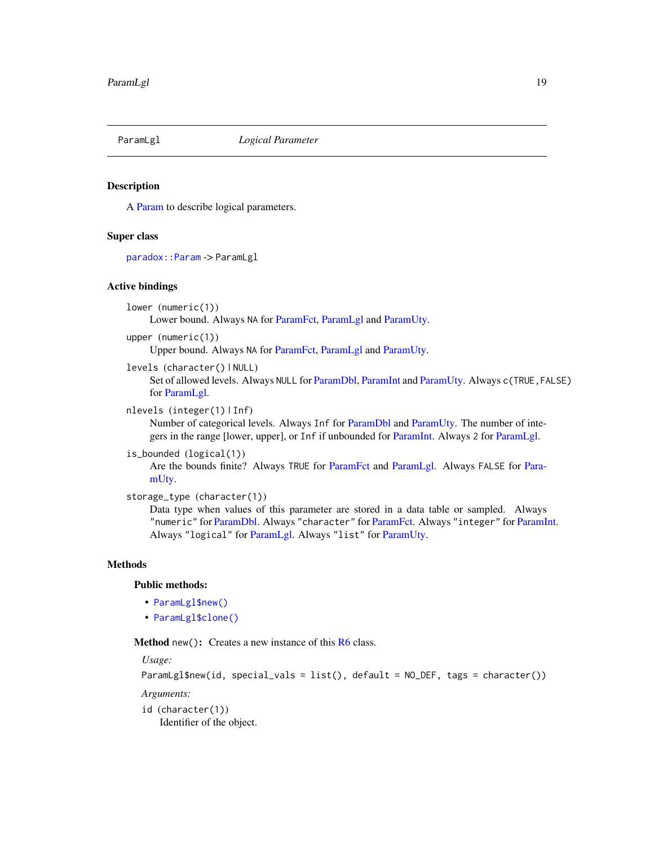<span id="page-18-1"></span><span id="page-18-0"></span>

# Description

A [Param](#page-9-1) to describe logical parameters.

#### Super class

[paradox::Param](#page-0-0) -> ParamLgl

#### Active bindings

lower (numeric(1))

Lower bound. Always NA for [ParamFct,](#page-14-1) [ParamLgl](#page-18-1) and [ParamUty.](#page-27-1)

upper (numeric(1))

Upper bound. Always NA for [ParamFct,](#page-14-1) [ParamLgl](#page-18-1) and [ParamUty.](#page-27-1)

levels (character() | NULL)

Set of allowed levels. Always NULL for [ParamDbl,](#page-12-1) [ParamInt](#page-16-1) and [ParamUty.](#page-27-1) Always c(TRUE,FALSE) for [ParamLgl.](#page-18-1)

```
nlevels (integer(1) | Inf)
```
Number of categorical levels. Always Inf for [ParamDbl](#page-12-1) and [ParamUty.](#page-27-1) The number of integers in the range [lower, upper], or Inf if unbounded for [ParamInt.](#page-16-1) Always 2 for [ParamLgl.](#page-18-1)

is\_bounded (logical(1))

Are the bounds finite? Always TRUE for [ParamFct](#page-14-1) and [ParamLgl.](#page-18-1) Always FALSE for [Para](#page-27-1)[mUty.](#page-27-1)

```
storage_type (character(1))
```
Data type when values of this parameter are stored in a data table or sampled. Always "numeric" for [ParamDbl.](#page-12-1) Always "character" for [ParamFct.](#page-14-1) Always "integer" for [ParamInt.](#page-16-1) Always "logical" for [ParamLgl.](#page-18-1) Always "list" for [ParamUty.](#page-27-1)

# Methods

# Public methods:

- [ParamLgl\\$new\(\)](#page-3-1)
- [ParamLgl\\$clone\(\)](#page-4-4)

Method new(): Creates a new instance of this [R6](#page-0-0) class.

*Usage:*

```
ParamLgl$new(id, special_vals = list(), default = NO_DEF, tags = character())
```
*Arguments:*

id (character(1))

Identifier of the object.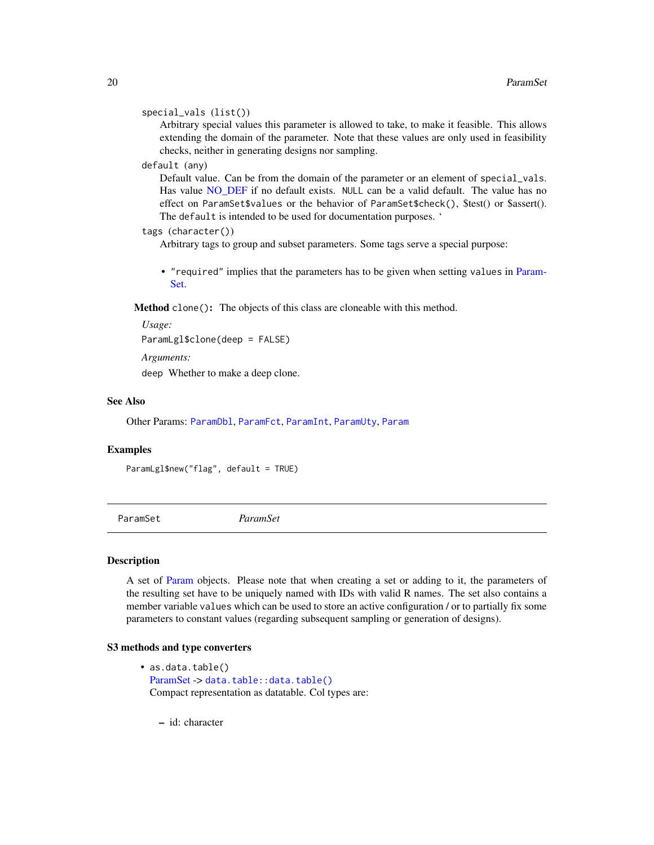# <span id="page-19-0"></span>special\_vals (list())

Arbitrary special values this parameter is allowed to take, to make it feasible. This allows extending the domain of the parameter. Note that these values are only used in feasibility checks, neither in generating designs nor sampling.

# default (any)

Default value. Can be from the domain of the parameter or an element of special\_vals. Has value [NO\\_DEF](#page-8-2) if no default exists. NULL can be a valid default. The value has no effect on ParamSet\$values or the behavior of ParamSet\$check(), \$test() or \$assert(). The default is intended to be used for documentation purposes. '

#### tags (character())

Arbitrary tags to group and subset parameters. Some tags serve a special purpose:

• "required" implies that the parameters has to be given when setting values in [Param-](#page-19-1)[Set.](#page-19-1)

Method clone(): The objects of this class are cloneable with this method.

```
Usage:
```
ParamLgl\$clone(deep = FALSE)

*Arguments:*

deep Whether to make a deep clone.

#### See Also

Other Params: [ParamDbl](#page-12-1), [ParamFct](#page-14-1), [ParamInt](#page-16-1), [ParamUty](#page-27-1), [Param](#page-9-1)

#### Examples

ParamLgl\$new("flag", default = TRUE)

<span id="page-19-1"></span>ParamSet *ParamSet*

#### **Description**

A set of [Param](#page-9-1) objects. Please note that when creating a set or adding to it, the parameters of the resulting set have to be uniquely named with IDs with valid R names. The set also contains a member variable values which can be used to store an active configuration / or to partially fix some parameters to constant values (regarding subsequent sampling or generation of designs).

#### S3 methods and type converters

• as.data.table() [ParamSet](#page-19-1) -> [data.table::data.table\(\)](#page-0-0) Compact representation as datatable. Col types are:

– id: character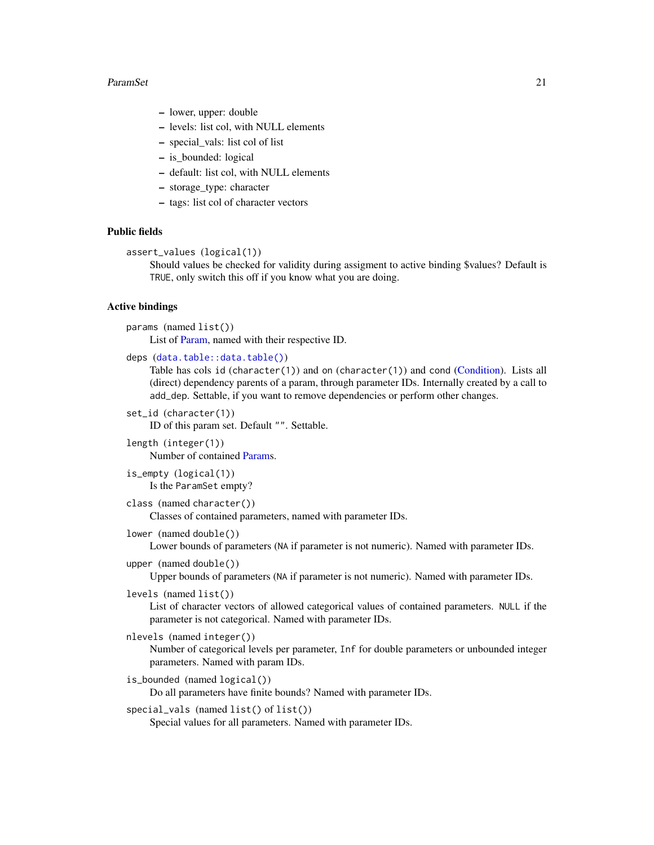#### <span id="page-20-0"></span>ParamSet 21

- lower, upper: double
- levels: list col, with NULL elements
- special\_vals: list col of list
- is\_bounded: logical
- default: list col, with NULL elements
- storage\_type: character
- tags: list col of character vectors

# Public fields

```
assert_values (logical(1))
```
Should values be checked for validity during assigment to active binding \$values? Default is TRUE, only switch this off if you know what you are doing.

# Active bindings

```
params (named list())
```
List of [Param,](#page-9-1) named with their respective ID.

```
deps (data.table::data.table())
```
Table has cols id (character(1)) and on (character(1)) and cond [\(Condition\)](#page-3-3). Lists all (direct) dependency parents of a param, through parameter IDs. Internally created by a call to add\_dep. Settable, if you want to remove dependencies or perform other changes.

```
set_id (character(1))
```
ID of this param set. Default "". Settable.

- length (integer(1)) Number of contained [Params](#page-9-1).
- is\_empty (logical(1)) Is the ParamSet empty?
- class (named character())

Classes of contained parameters, named with parameter IDs.

lower (named double())

Lower bounds of parameters (NA if parameter is not numeric). Named with parameter IDs.

upper (named double())

Upper bounds of parameters (NA if parameter is not numeric). Named with parameter IDs.

levels (named list())

List of character vectors of allowed categorical values of contained parameters. NULL if the parameter is not categorical. Named with parameter IDs.

```
nlevels (named integer())
```
Number of categorical levels per parameter, Inf for double parameters or unbounded integer parameters. Named with param IDs.

is\_bounded (named logical())

Do all parameters have finite bounds? Named with parameter IDs.

special\_vals (named list() of list())

Special values for all parameters. Named with parameter IDs.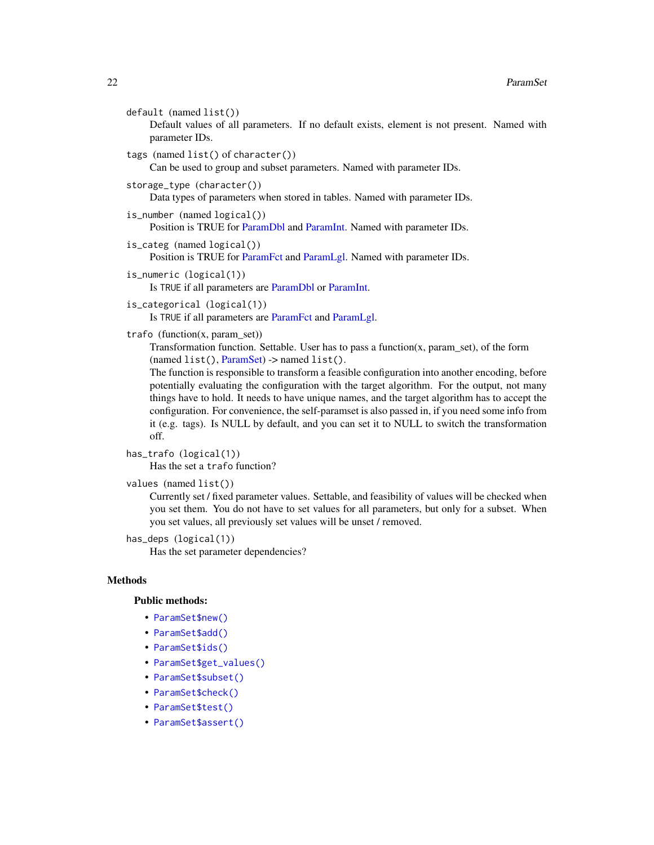```
default (named list())
```
Default values of all parameters. If no default exists, element is not present. Named with parameter IDs.

tags (named list() of character())

Can be used to group and subset parameters. Named with parameter IDs.

```
storage_type (character())
```
Data types of parameters when stored in tables. Named with parameter IDs.

```
is_number (named logical())
    Position is TRUE for ParamDbl and ParamInt. Named with parameter IDs.
```
is\_categ (named logical()) Position is TRUE for [ParamFct](#page-14-1) and [ParamLgl.](#page-18-1) Named with parameter IDs.

```
is_numeric (logical(1))
```
Is TRUE if all parameters are [ParamDbl](#page-12-1) or [ParamInt.](#page-16-1)

```
is_categorical (logical(1))
```
Is TRUE if all parameters are [ParamFct](#page-14-1) and [ParamLgl.](#page-18-1)

# trafo (function(x, param\_set))

Transformation function. Settable. User has to pass a function $(x, param_set)$ , of the form  $(named list(), ParamSet)$  $(named list(), ParamSet)$  -> named list().

The function is responsible to transform a feasible configuration into another encoding, before potentially evaluating the configuration with the target algorithm. For the output, not many things have to hold. It needs to have unique names, and the target algorithm has to accept the configuration. For convenience, the self-paramset is also passed in, if you need some info from it (e.g. tags). Is NULL by default, and you can set it to NULL to switch the transformation off.

```
has_trafo (logical(1))
```
Has the set a trafo function?

```
values (named list())
```
Currently set / fixed parameter values. Settable, and feasibility of values will be checked when you set them. You do not have to set values for all parameters, but only for a subset. When you set values, all previously set values will be unset / removed.

```
has_deps (logical(1))
```
Has the set parameter dependencies?

# Methods

#### Public methods:

- [ParamSet\\$new\(\)](#page-3-1)
- [ParamSet\\$add\(\)](#page-22-0)
- [ParamSet\\$ids\(\)](#page-22-1)
- [ParamSet\\$get\\_values\(\)](#page-22-2)
- [ParamSet\\$subset\(\)](#page-22-3)
- [ParamSet\\$check\(\)](#page-10-0)
- [ParamSet\\$test\(\)](#page-3-2)
- [ParamSet\\$assert\(\)](#page-10-1)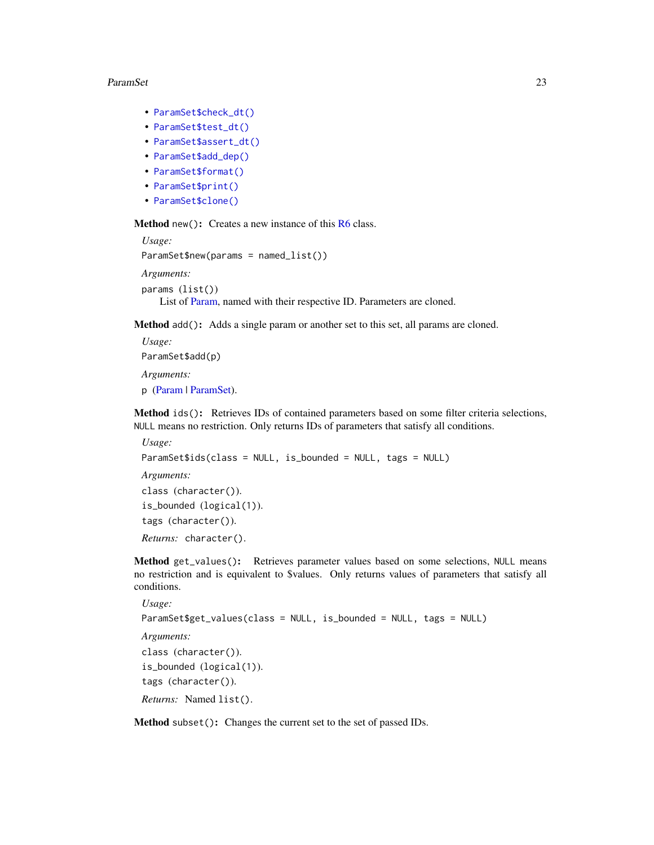#### <span id="page-22-4"></span>ParamSet 23

- [ParamSet\\$check\\_dt\(\)](#page-23-0)
- [ParamSet\\$test\\_dt\(\)](#page-24-0)
- [ParamSet\\$assert\\_dt\(\)](#page-24-1)
- [ParamSet\\$add\\_dep\(\)](#page-24-2)
- [ParamSet\\$format\(\)](#page-4-2)
- [ParamSet\\$print\(\)](#page-4-3)
- [ParamSet\\$clone\(\)](#page-4-4)

Method new(): Creates a new instance of this [R6](#page-0-0) class.

```
Usage:
ParamSet$new(params = named_list())
Arguments:
params (list())
```
List of [Param,](#page-9-1) named with their respective ID. Parameters are cloned.

<span id="page-22-0"></span>Method add(): Adds a single param or another set to this set, all params are cloned.

*Usage:* ParamSet\$add(p) *Arguments:* p [\(Param](#page-9-1) | [ParamSet\)](#page-19-1).

<span id="page-22-1"></span>Method ids(): Retrieves IDs of contained parameters based on some filter criteria selections, NULL means no restriction. Only returns IDs of parameters that satisfy all conditions.

```
Usage:
ParamSet$ids(class = NULL, is_bounded = NULL, tags = NULL)
Arguments:
class (character()).
is_bounded (logical(1)).
tags (character()).
Returns: character().
```
<span id="page-22-2"></span>Method get\_values(): Retrieves parameter values based on some selections, NULL means no restriction and is equivalent to \$values. Only returns values of parameters that satisfy all conditions.

```
Usage:
ParamSet$get_values(class = NULL, is_bounded = NULL, tags = NULL)
Arguments:
class (character()).
is_bounded (logical(1)).
tags (character()).
Returns: Named list().
```
<span id="page-22-3"></span>Method subset(): Changes the current set to the set of passed IDs.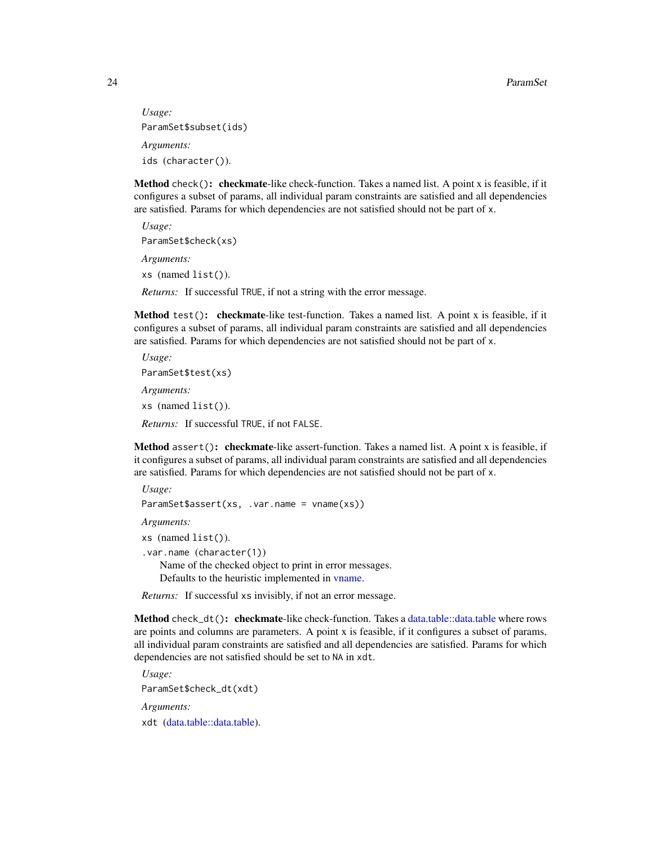```
Usage:
ParamSet$subset(ids)
Arguments:
ids (character()).
```
Method check(): checkmate-like check-function. Takes a named list. A point x is feasible, if it configures a subset of params, all individual param constraints are satisfied and all dependencies are satisfied. Params for which dependencies are not satisfied should not be part of x.

*Usage:* ParamSet\$check(xs) *Arguments:* xs (named list()). *Returns:* If successful TRUE, if not a string with the error message.

Method test(): checkmate-like test-function. Takes a named list. A point x is feasible, if it configures a subset of params, all individual param constraints are satisfied and all dependencies are satisfied. Params for which dependencies are not satisfied should not be part of x.

*Usage:* ParamSet\$test(xs) *Arguments:* xs (named list()). *Returns:* If successful TRUE, if not FALSE.

Method assert(): checkmate-like assert-function. Takes a named list. A point x is feasible, if it configures a subset of params, all individual param constraints are satisfied and all dependencies are satisfied. Params for which dependencies are not satisfied should not be part of x.

```
Usage:
ParamSet$assert(xs, .var.name = vname(xs))
Arguments:
xs (named list()).
.var.name (character(1))
   Name of the checked object to print in error messages.
   Defaults to the heuristic implemented in vname.
```
*Returns:* If successful xs invisibly, if not an error message.

<span id="page-23-0"></span>Method check\_dt(): checkmate-like check-function. Takes a [data.table::data.table](#page-0-0) where rows are points and columns are parameters. A point x is feasible, if it configures a subset of params, all individual param constraints are satisfied and all dependencies are satisfied. Params for which dependencies are not satisfied should be set to NA in xdt.

*Usage:* ParamSet\$check\_dt(xdt) *Arguments:* xdt [\(data.table::data.table\)](#page-0-0).

<span id="page-23-1"></span>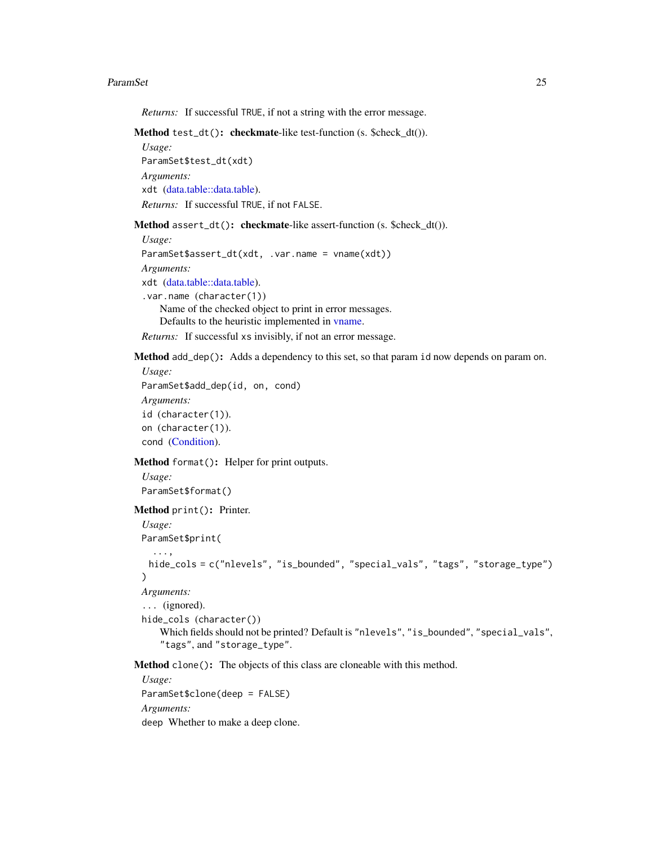#### <span id="page-24-3"></span>ParamSet 25

*Returns:* If successful TRUE, if not a string with the error message.

```
Method test_dt(): checkmate-like test-function (s. $check_dt()).
```
*Usage:* ParamSet\$test\_dt(xdt) *Arguments:* xdt [\(data.table::data.table\)](#page-0-0). *Returns:* If successful TRUE, if not FALSE.

<span id="page-24-1"></span>Method assert\_dt(): checkmate-like assert-function (s. \$check\_dt()).

```
Usage:
ParamSet$assert_dt(xdt, .var.name = vname(xdt))
Arguments:
xdt (data.table::data.table).
.var.name (character(1))
    Name of the checked object to print in error messages.
    Defaults to the heuristic implemented in vname.
```
*Returns:* If successful xs invisibly, if not an error message.

<span id="page-24-2"></span>Method add\_dep(): Adds a dependency to this set, so that param id now depends on param on.

```
Usage:
ParamSet$add_dep(id, on, cond)
Arguments:
id (character(1)).
on (character(1)).
cond (Condition).
```
Method format(): Helper for print outputs.

*Usage:* ParamSet\$format()

Method print(): Printer.

```
Usage:
ParamSet$print(
  ...,
 hide_cols = c("nlevels", "is_bounded", "special_vals", "tags", "storage_type")
\lambdaArguments:
... (ignored).
hide_cols (character())
   Which fields should not be printed? Default is "nlevels", "is_bounded", "special_vals",
    "tags", and "storage_type".
```
Method clone(): The objects of this class are cloneable with this method.

*Usage:* ParamSet\$clone(deep = FALSE) *Arguments:* deep Whether to make a deep clone.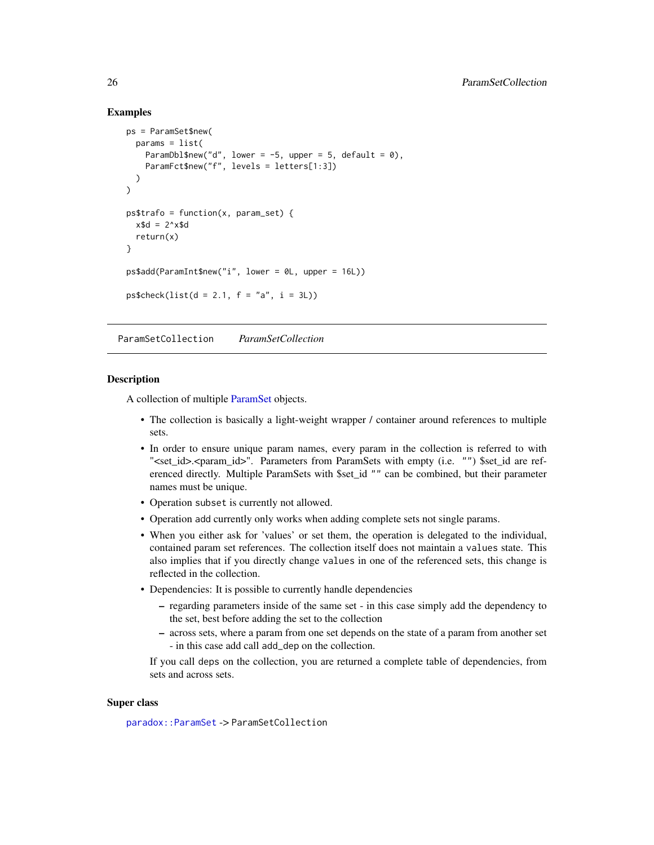# Examples

```
ps = ParamSet$new(
  params = list(
    ParamDbl$new("d", lower = -5, upper = 5, default = 0),
    ParamFct$new("f", levels = letters[1:3])
  )
\mathcal{L}ps$trafo = function(x, param_set) {
  x$d = 2^xx$d
  return(x)
}
ps$add(ParamInt$new("i", lower = 0L, upper = 16L))
ps$check(list(d = 2.1, f = "a", i = 3L))
```
<span id="page-25-1"></span>ParamSetCollection *ParamSetCollection*

#### **Description**

A collection of multiple [ParamSet](#page-19-1) objects.

- The collection is basically a light-weight wrapper / container around references to multiple sets.
- In order to ensure unique param names, every param in the collection is referred to with "<set\_id>.<param\_id>". Parameters from ParamSets with empty (i.e. "") \$set\_id are referenced directly. Multiple ParamSets with \$set\_id "" can be combined, but their parameter names must be unique.
- Operation subset is currently not allowed.
- Operation add currently only works when adding complete sets not single params.
- When you either ask for 'values' or set them, the operation is delegated to the individual, contained param set references. The collection itself does not maintain a values state. This also implies that if you directly change values in one of the referenced sets, this change is reflected in the collection.
- Dependencies: It is possible to currently handle dependencies
	- regarding parameters inside of the same set in this case simply add the dependency to the set, best before adding the set to the collection
	- across sets, where a param from one set depends on the state of a param from another set - in this case add call add\_dep on the collection.

If you call deps on the collection, you are returned a complete table of dependencies, from sets and across sets.

# Super class

[paradox::ParamSet](#page-0-0) -> ParamSetCollection

<span id="page-25-0"></span>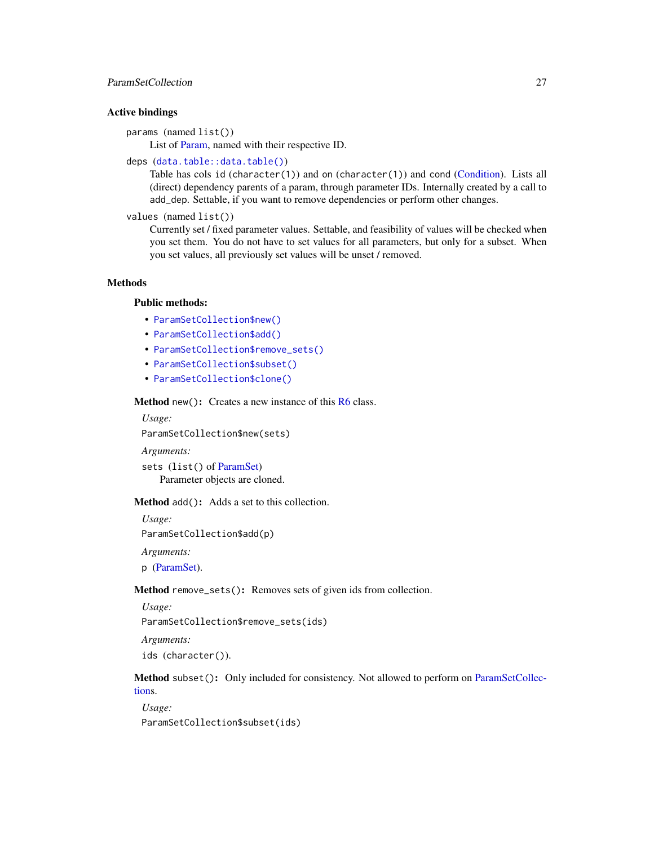# <span id="page-26-1"></span>ParamSetCollection 27

# Active bindings

params (named list())

List of [Param,](#page-9-1) named with their respective ID.

# deps ([data.table::data.table\(\)](#page-0-0))

Table has cols id (character(1)) and on (character(1)) and cond [\(Condition\)](#page-3-3). Lists all (direct) dependency parents of a param, through parameter IDs. Internally created by a call to add\_dep. Settable, if you want to remove dependencies or perform other changes.

#### values (named list())

Currently set / fixed parameter values. Settable, and feasibility of values will be checked when you set them. You do not have to set values for all parameters, but only for a subset. When you set values, all previously set values will be unset / removed.

# Methods

# Public methods:

- [ParamSetCollection\\$new\(\)](#page-3-1)
- [ParamSetCollection\\$add\(\)](#page-22-0)
- [ParamSetCollection\\$remove\\_sets\(\)](#page-26-0)
- [ParamSetCollection\\$subset\(\)](#page-22-3)
- [ParamSetCollection\\$clone\(\)](#page-4-4)

### Method new(): Creates a new instance of this [R6](#page-0-0) class.

#### *Usage:*

ParamSetCollection\$new(sets)

#### *Arguments:*

sets (list() of [ParamSet\)](#page-19-1) Parameter objects are cloned.

#### Method add(): Adds a set to this collection.

*Usage:*

ParamSetCollection\$add(p)

*Arguments:*

p [\(ParamSet\)](#page-19-1).

# <span id="page-26-0"></span>Method remove\_sets(): Removes sets of given ids from collection.

```
Usage:
ParamSetCollection$remove_sets(ids)
```
*Arguments:*

ids (character()).

# Method subset(): Only included for consistency. Not allowed to perform on [ParamSetCollec](#page-25-1)[tions](#page-25-1).

*Usage:* ParamSetCollection\$subset(ids)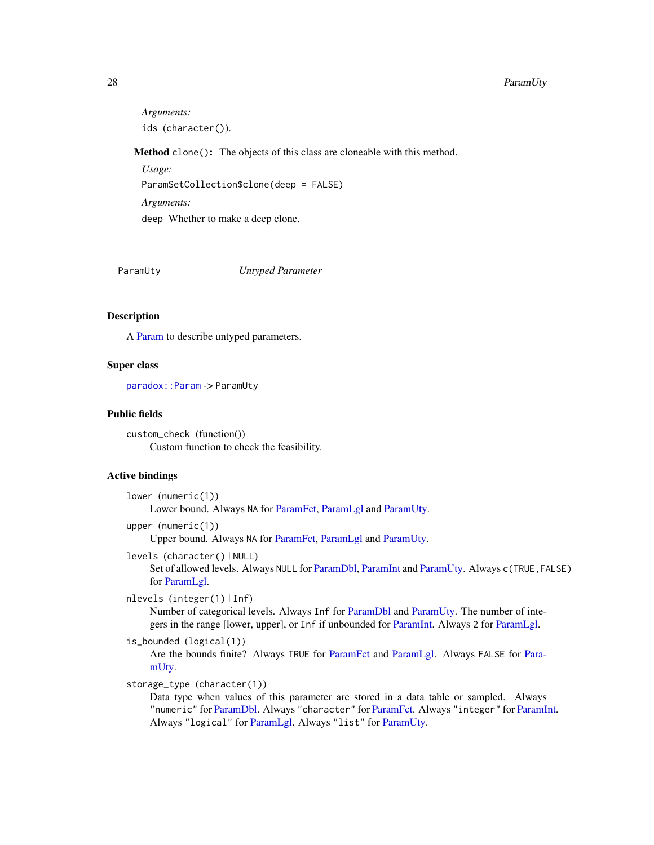#### <span id="page-27-0"></span>28 **ParamUty**

*Arguments:* ids (character()).

Method clone(): The objects of this class are cloneable with this method.

*Usage:* ParamSetCollection\$clone(deep = FALSE) *Arguments:* deep Whether to make a deep clone.

<span id="page-27-1"></span>

ParamUty *Untyped Parameter*

# **Description**

A [Param](#page-9-1) to describe untyped parameters.

# Super class

[paradox::Param](#page-0-0) -> ParamUty

#### Public fields

custom\_check (function()) Custom function to check the feasibility.

# Active bindings

```
lower (numeric(1))
    Lower bound. Always NA for ParamFct, ParamLgl and ParamUty.
```
upper (numeric(1))

Upper bound. Always NA for [ParamFct,](#page-14-1) [ParamLgl](#page-18-1) and [ParamUty.](#page-27-1)

levels (character() | NULL)

Set of allowed levels. Always NULL for [ParamDbl,](#page-12-1) [ParamInt](#page-16-1) and [ParamUty.](#page-27-1) Always c(TRUE,FALSE) for [ParamLgl.](#page-18-1)

```
nlevels (integer(1) | Inf)
```
Number of categorical levels. Always Inf for [ParamDbl](#page-12-1) and [ParamUty.](#page-27-1) The number of integers in the range [lower, upper], or Inf if unbounded for [ParamInt.](#page-16-1) Always 2 for [ParamLgl.](#page-18-1)

```
is_bounded (logical(1))
```
Are the bounds finite? Always TRUE for [ParamFct](#page-14-1) and [ParamLgl.](#page-18-1) Always FALSE for [Para](#page-27-1)[mUty.](#page-27-1)

```
storage_type (character(1))
```
Data type when values of this parameter are stored in a data table or sampled. Always "numeric" for [ParamDbl.](#page-12-1) Always "character" for [ParamFct.](#page-14-1) Always "integer" for [ParamInt.](#page-16-1) Always "logical" for [ParamLgl.](#page-18-1) Always "list" for [ParamUty.](#page-27-1)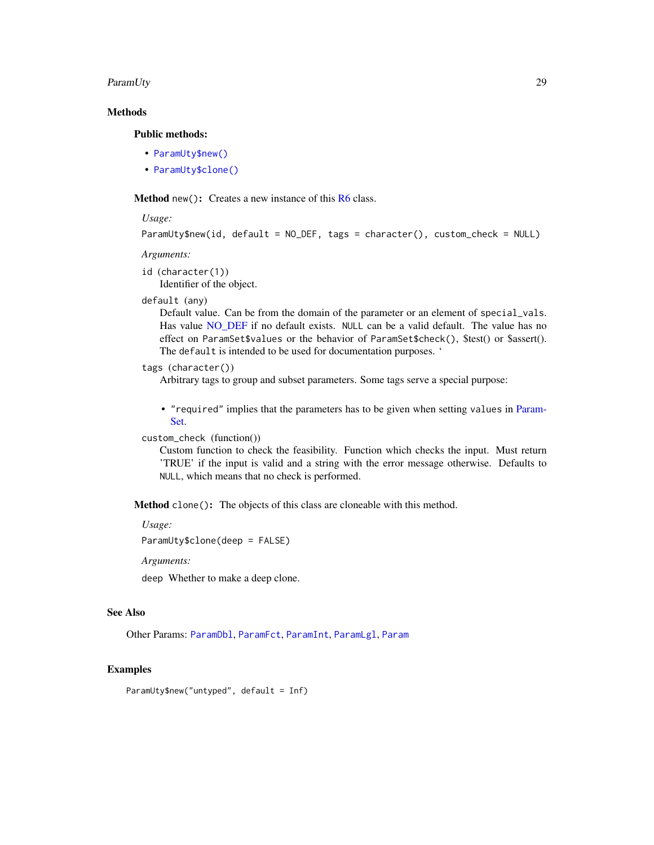### <span id="page-28-0"></span>ParamUty 29

# **Methods**

# Public methods:

- [ParamUty\\$new\(\)](#page-3-1)
- [ParamUty\\$clone\(\)](#page-4-4)

**Method** new( $)$ : Creates a new instance of this  $R6$  class.

#### *Usage:*

```
ParamUty$new(id, default = NO_DEF, tags = character(), custom_check = NULL)
```
#### *Arguments:*

id (character(1)) Identifier of the object.

#### default (any)

Default value. Can be from the domain of the parameter or an element of special\_vals. Has value [NO\\_DEF](#page-8-2) if no default exists. NULL can be a valid default. The value has no effect on ParamSet\$values or the behavior of ParamSet\$check(), \$test() or \$assert(). The default is intended to be used for documentation purposes. '

# tags (character())

Arbitrary tags to group and subset parameters. Some tags serve a special purpose:

• "required" implies that the parameters has to be given when setting values in [Param-](#page-19-1)[Set.](#page-19-1)

# custom\_check (function())

Custom function to check the feasibility. Function which checks the input. Must return 'TRUE' if the input is valid and a string with the error message otherwise. Defaults to NULL, which means that no check is performed.

Method clone(): The objects of this class are cloneable with this method.

*Usage:*

ParamUty\$clone(deep = FALSE)

*Arguments:*

deep Whether to make a deep clone.

# See Also

Other Params: [ParamDbl](#page-12-1), [ParamFct](#page-14-1), [ParamInt](#page-16-1), [ParamLgl](#page-18-1), [Param](#page-9-1)

# Examples

ParamUty\$new("untyped", default = Inf)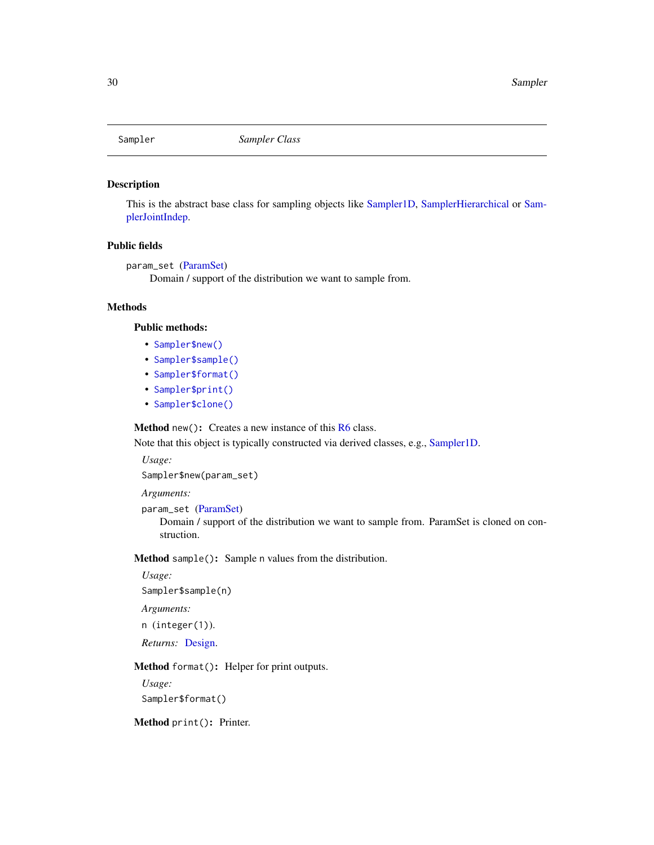<span id="page-29-2"></span><span id="page-29-0"></span>

# Description

This is the abstract base class for sampling objects like [Sampler1D,](#page-30-1) [SamplerHierarchical](#page-35-1) or [Sam](#page-36-1)[plerJointIndep.](#page-36-1)

# Public fields

```
param_set (ParamSet)
     Domain / support of the distribution we want to sample from.
```
# Methods

#### Public methods:

- [Sampler\\$new\(\)](#page-3-1)
- [Sampler\\$sample\(\)](#page-29-1)
- [Sampler\\$format\(\)](#page-4-2)
- [Sampler\\$print\(\)](#page-4-3)
- [Sampler\\$clone\(\)](#page-4-4)

Method new(): Creates a new instance of this [R6](#page-0-0) class.

Note that this object is typically constructed via derived classes, e.g., [Sampler1D.](#page-30-1)

*Usage:*

Sampler\$new(param\_set)

*Arguments:*

param\_set [\(ParamSet\)](#page-19-1)

Domain / support of the distribution we want to sample from. ParamSet is cloned on construction.

<span id="page-29-1"></span>Method sample(): Sample n values from the distribution.

```
Usage:
Sampler$sample(n)
```
*Arguments:*

n (integer(1)).

*Returns:* [Design.](#page-4-5)

Method format(): Helper for print outputs.

*Usage:* Sampler\$format()

Method print(): Printer.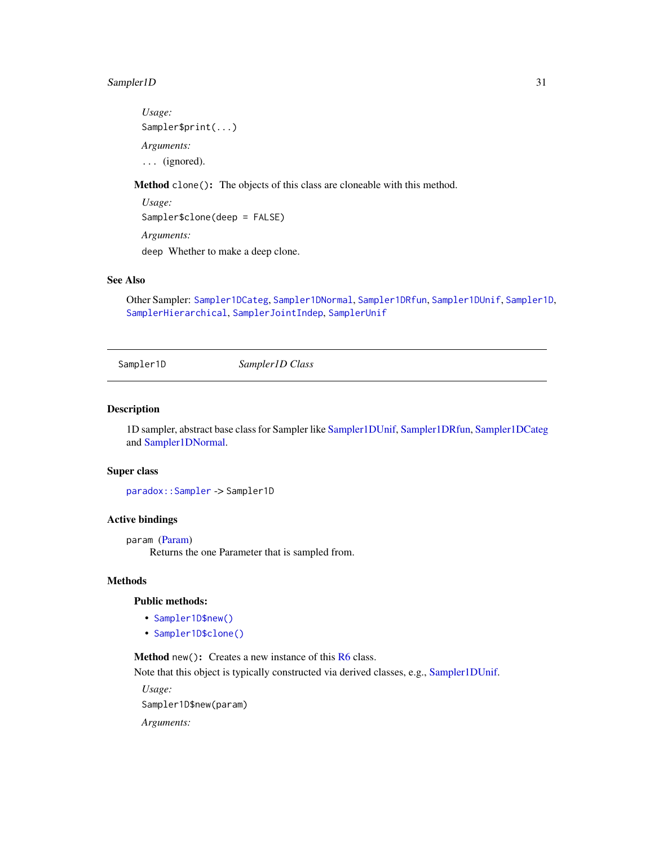# <span id="page-30-0"></span>Sampler1D 31

*Usage:* Sampler\$print(...) *Arguments:* ... (ignored).

Method clone(): The objects of this class are cloneable with this method.

*Usage:* Sampler\$clone(deep = FALSE) *Arguments:* deep Whether to make a deep clone.

# See Also

Other Sampler: [Sampler1DCateg](#page-31-1), [Sampler1DNormal](#page-32-1), [Sampler1DRfun](#page-33-1), [Sampler1DUnif](#page-34-1), [Sampler1D](#page-30-1), [SamplerHierarchical](#page-35-1), [SamplerJointIndep](#page-36-1), [SamplerUnif](#page-37-1)

<span id="page-30-1"></span>Sampler1D *Sampler1D Class*

# Description

1D sampler, abstract base class for Sampler like [Sampler1DUnif,](#page-34-1) [Sampler1DRfun,](#page-33-1) [Sampler1DCateg](#page-31-1) and [Sampler1DNormal.](#page-32-1)

#### Super class

[paradox::Sampler](#page-0-0) -> Sampler1D

# Active bindings

param [\(Param\)](#page-9-1)

Returns the one Parameter that is sampled from.

# Methods

# Public methods:

- [Sampler1D\\$new\(\)](#page-3-1)
- [Sampler1D\\$clone\(\)](#page-4-4)

Method new(): Creates a new instance of this [R6](#page-0-0) class. Note that this object is typically constructed via derived classes, e.g., [Sampler1DUnif.](#page-34-1)

*Usage:*

Sampler1D\$new(param)

*Arguments:*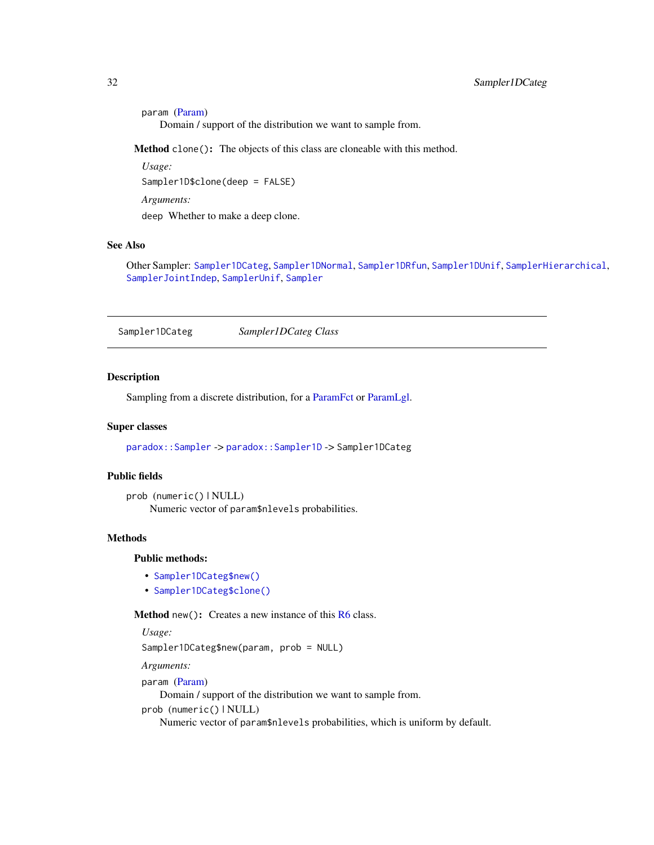```
param (Param)
   Domain / support of the distribution we want to sample from.
```
*Usage:* Sampler1D\$clone(deep = FALSE) *Arguments:* deep Whether to make a deep clone.

# See Also

Other Sampler: [Sampler1DCateg](#page-31-1), [Sampler1DNormal](#page-32-1), [Sampler1DRfun](#page-33-1), [Sampler1DUnif](#page-34-1), [SamplerHierarchical](#page-35-1), [SamplerJointIndep](#page-36-1), [SamplerUnif](#page-37-1), [Sampler](#page-29-2)

<span id="page-31-1"></span>Sampler1DCateg *Sampler1DCateg Class*

#### Description

Sampling from a discrete distribution, for a [ParamFct](#page-14-1) or [ParamLgl.](#page-18-1)

#### Super classes

[paradox::Sampler](#page-0-0) -> [paradox::Sampler1D](#page-0-0) -> Sampler1DCateg

# Public fields

```
prob (numeric() | NULL)
    Numeric vector of param$nlevels probabilities.
```
#### Methods

# Public methods:

- [Sampler1DCateg\\$new\(\)](#page-3-1)
- [Sampler1DCateg\\$clone\(\)](#page-4-4)

Method new(): Creates a new instance of this [R6](#page-0-0) class.

```
Usage:
Sampler1DCateg$new(param, prob = NULL)
```
*Arguments:*

```
param (Param)
```
Domain / support of the distribution we want to sample from.

prob (numeric() | NULL)

Numeric vector of param\$nlevels probabilities, which is uniform by default.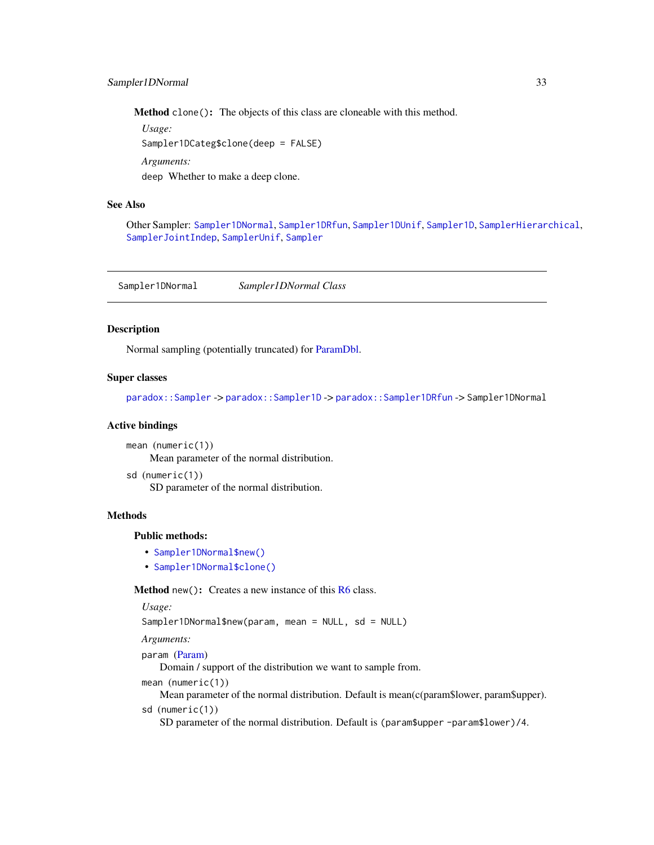<span id="page-32-0"></span>*Usage:* Sampler1DCateg\$clone(deep = FALSE) *Arguments:* deep Whether to make a deep clone.

# See Also

Other Sampler: [Sampler1DNormal](#page-32-1), [Sampler1DRfun](#page-33-1), [Sampler1DUnif](#page-34-1), [Sampler1D](#page-30-1), [SamplerHierarchical](#page-35-1), [SamplerJointIndep](#page-36-1), [SamplerUnif](#page-37-1), [Sampler](#page-29-2)

<span id="page-32-1"></span>Sampler1DNormal *Sampler1DNormal Class*

# Description

Normal sampling (potentially truncated) for [ParamDbl.](#page-12-1)

# Super classes

[paradox::Sampler](#page-0-0) -> [paradox::Sampler1D](#page-0-0) -> [paradox::Sampler1DRfun](#page-0-0) -> Sampler1DNormal

#### Active bindings

mean (numeric(1)) Mean parameter of the normal distribution.

```
sd (numeric(1))
    SD parameter of the normal distribution.
```
# **Methods**

# Public methods:

- [Sampler1DNormal\\$new\(\)](#page-3-1)
- [Sampler1DNormal\\$clone\(\)](#page-4-4)

**Method** new(): Creates a new instance of this  $R6$  class.

#### *Usage:*

Sampler1DNormal\$new(param, mean = NULL, sd = NULL)

*Arguments:*

param [\(Param\)](#page-9-1)

Domain / support of the distribution we want to sample from.

mean (numeric(1))

Mean parameter of the normal distribution. Default is mean(c(param\$lower, param\$upper).

sd (numeric(1))

SD parameter of the normal distribution. Default is (param\$upper -param\$lower)/4.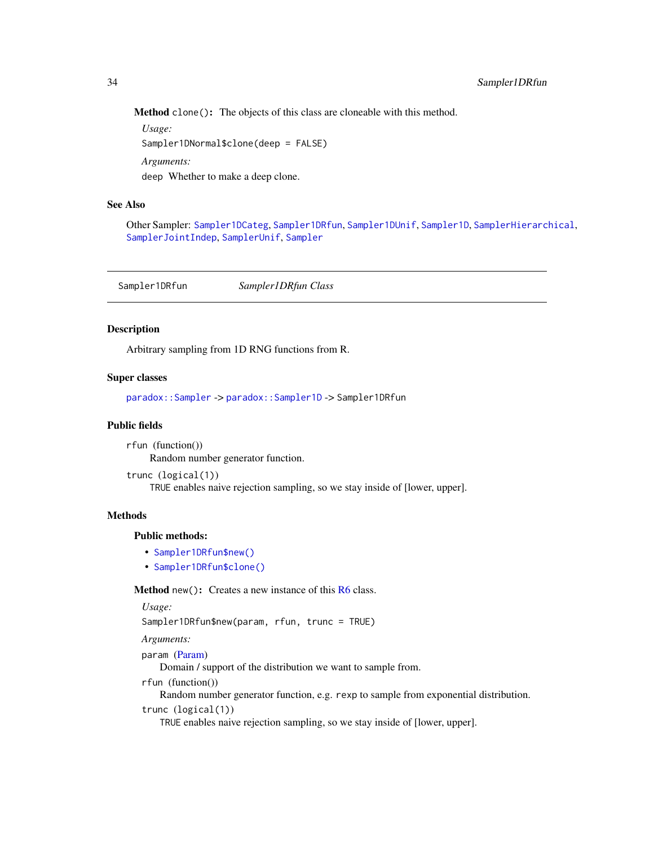<span id="page-33-0"></span>*Usage:* Sampler1DNormal\$clone(deep = FALSE) *Arguments:* deep Whether to make a deep clone.

# See Also

Other Sampler: [Sampler1DCateg](#page-31-1), [Sampler1DRfun](#page-33-1), [Sampler1DUnif](#page-34-1), [Sampler1D](#page-30-1), [SamplerHierarchical](#page-35-1), [SamplerJointIndep](#page-36-1), [SamplerUnif](#page-37-1), [Sampler](#page-29-2)

<span id="page-33-1"></span>Sampler1DRfun *Sampler1DRfun Class*

# Description

Arbitrary sampling from 1D RNG functions from R.

# Super classes

[paradox::Sampler](#page-0-0) -> [paradox::Sampler1D](#page-0-0) -> Sampler1DRfun

# Public fields

rfun (function()) Random number generator function.

trunc (logical(1)) TRUE enables naive rejection sampling, so we stay inside of [lower, upper].

# **Methods**

# Public methods:

- [Sampler1DRfun\\$new\(\)](#page-3-1)
- [Sampler1DRfun\\$clone\(\)](#page-4-4)

**Method** new( $)$ : Creates a new instance of this  $R6$  class.

```
Usage:
```
Sampler1DRfun\$new(param, rfun, trunc = TRUE)

```
Arguments:
```
param [\(Param\)](#page-9-1)

Domain / support of the distribution we want to sample from.

rfun (function())

Random number generator function, e.g. rexp to sample from exponential distribution. trunc (logical(1))

TRUE enables naive rejection sampling, so we stay inside of [lower, upper].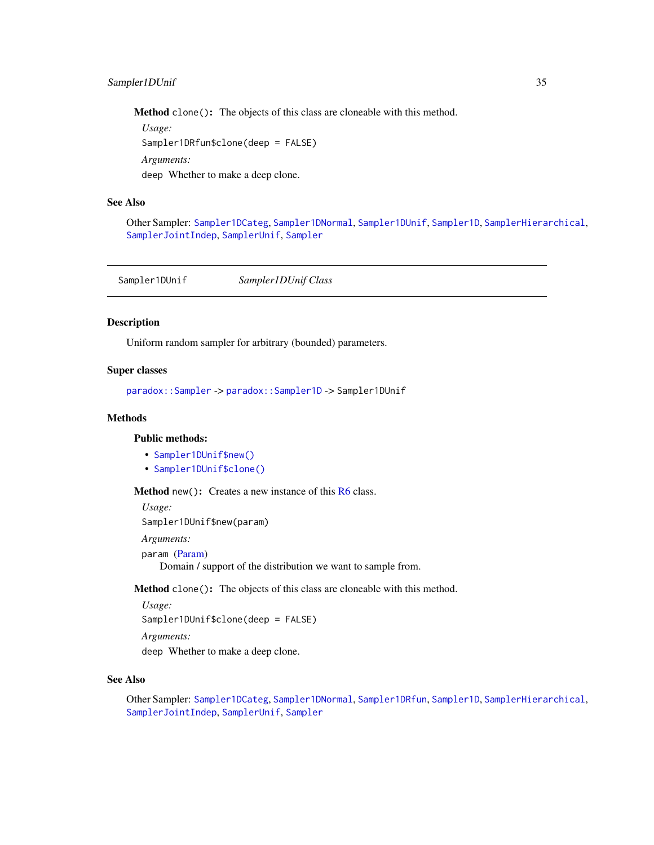<span id="page-34-0"></span>*Usage:* Sampler1DRfun\$clone(deep = FALSE) *Arguments:* deep Whether to make a deep clone.

#### See Also

Other Sampler: [Sampler1DCateg](#page-31-1), [Sampler1DNormal](#page-32-1), [Sampler1DUnif](#page-34-1), [Sampler1D](#page-30-1), [SamplerHierarchical](#page-35-1), [SamplerJointIndep](#page-36-1), [SamplerUnif](#page-37-1), [Sampler](#page-29-2)

<span id="page-34-1"></span>Sampler1DUnif *Sampler1DUnif Class*

# Description

Uniform random sampler for arbitrary (bounded) parameters.

# Super classes

[paradox::Sampler](#page-0-0) -> [paradox::Sampler1D](#page-0-0) -> Sampler1DUnif

# Methods

# Public methods:

- [Sampler1DUnif\\$new\(\)](#page-3-1)
- [Sampler1DUnif\\$clone\(\)](#page-4-4)

Method new(): Creates a new instance of this [R6](#page-0-0) class.

*Usage:*

Sampler1DUnif\$new(param)

*Arguments:*

param [\(Param\)](#page-9-1)

Domain / support of the distribution we want to sample from.

Method clone(): The objects of this class are cloneable with this method.

*Usage:*

Sampler1DUnif\$clone(deep = FALSE)

*Arguments:*

deep Whether to make a deep clone.

#### See Also

Other Sampler: [Sampler1DCateg](#page-31-1), [Sampler1DNormal](#page-32-1), [Sampler1DRfun](#page-33-1), [Sampler1D](#page-30-1), [SamplerHierarchical](#page-35-1), [SamplerJointIndep](#page-36-1), [SamplerUnif](#page-37-1), [Sampler](#page-29-2)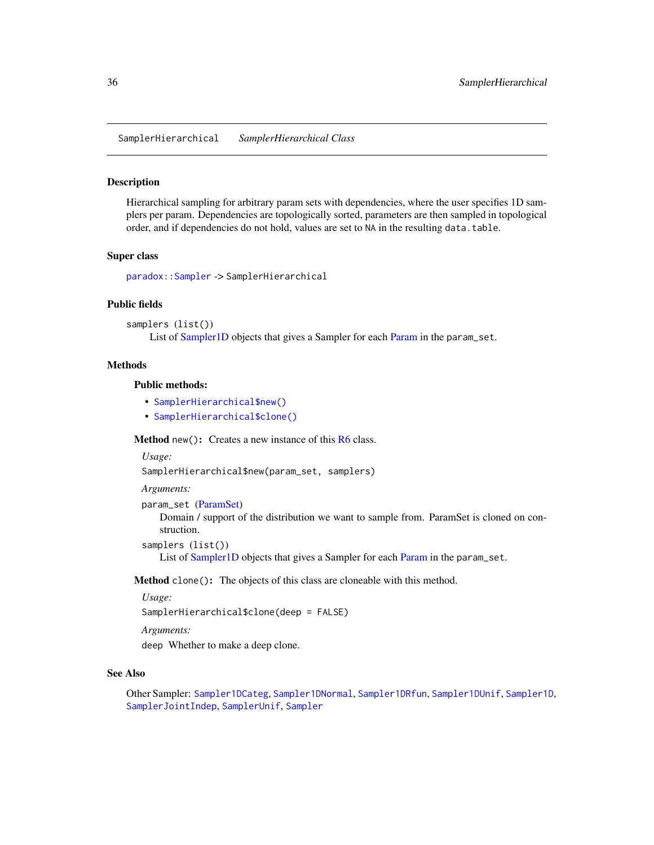<span id="page-35-1"></span><span id="page-35-0"></span>SamplerHierarchical *SamplerHierarchical Class*

#### Description

Hierarchical sampling for arbitrary param sets with dependencies, where the user specifies 1D samplers per param. Dependencies are topologically sorted, parameters are then sampled in topological order, and if dependencies do not hold, values are set to NA in the resulting data.table.

#### Super class

[paradox::Sampler](#page-0-0) -> SamplerHierarchical

#### Public fields

samplers (list())

List of [Sampler1D](#page-30-1) objects that gives a Sampler for each [Param](#page-9-1) in the param\_set.

#### Methods

# Public methods:

- [SamplerHierarchical\\$new\(\)](#page-3-1)
- [SamplerHierarchical\\$clone\(\)](#page-4-4)

**Method** new( $)$ : Creates a new instance of this  $R6$  class.

*Usage:*

SamplerHierarchical\$new(param\_set, samplers)

*Arguments:*

param\_set [\(ParamSet\)](#page-19-1)

Domain / support of the distribution we want to sample from. ParamSet is cloned on construction.

samplers (list())

List of [Sampler1D](#page-30-1) objects that gives a Sampler for each [Param](#page-9-1) in the param\_set.

Method clone(): The objects of this class are cloneable with this method.

*Usage:*

SamplerHierarchical\$clone(deep = FALSE)

*Arguments:*

deep Whether to make a deep clone.

#### See Also

Other Sampler: [Sampler1DCateg](#page-31-1), [Sampler1DNormal](#page-32-1), [Sampler1DRfun](#page-33-1), [Sampler1DUnif](#page-34-1), [Sampler1D](#page-30-1), [SamplerJointIndep](#page-36-1), [SamplerUnif](#page-37-1), [Sampler](#page-29-2)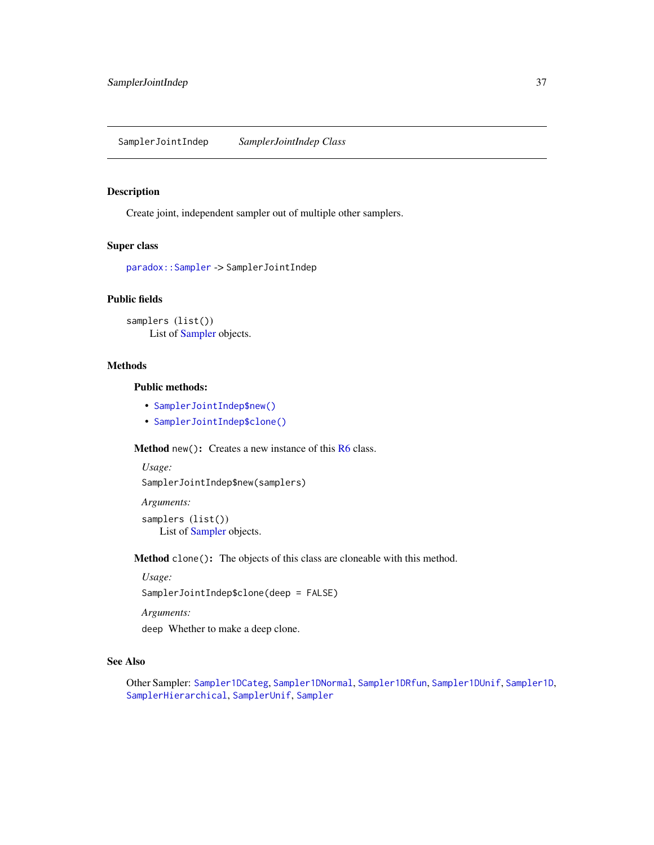<span id="page-36-1"></span><span id="page-36-0"></span>SamplerJointIndep *SamplerJointIndep Class*

#### Description

Create joint, independent sampler out of multiple other samplers.

# Super class

[paradox::Sampler](#page-0-0) -> SamplerJointIndep

# Public fields

samplers (list()) List of [Sampler](#page-29-2) objects.

# Methods

# Public methods:

- [SamplerJointIndep\\$new\(\)](#page-3-1)
- [SamplerJointIndep\\$clone\(\)](#page-4-4)

Method new(): Creates a new instance of this [R6](#page-0-0) class.

```
Usage:
SamplerJointIndep$new(samplers)
```

```
Arguments:
samplers (list())
    List of Sampler objects.
```
Method clone(): The objects of this class are cloneable with this method.

*Usage:*

SamplerJointIndep\$clone(deep = FALSE)

*Arguments:*

deep Whether to make a deep clone.

# See Also

Other Sampler: [Sampler1DCateg](#page-31-1), [Sampler1DNormal](#page-32-1), [Sampler1DRfun](#page-33-1), [Sampler1DUnif](#page-34-1), [Sampler1D](#page-30-1), [SamplerHierarchical](#page-35-1), [SamplerUnif](#page-37-1), [Sampler](#page-29-2)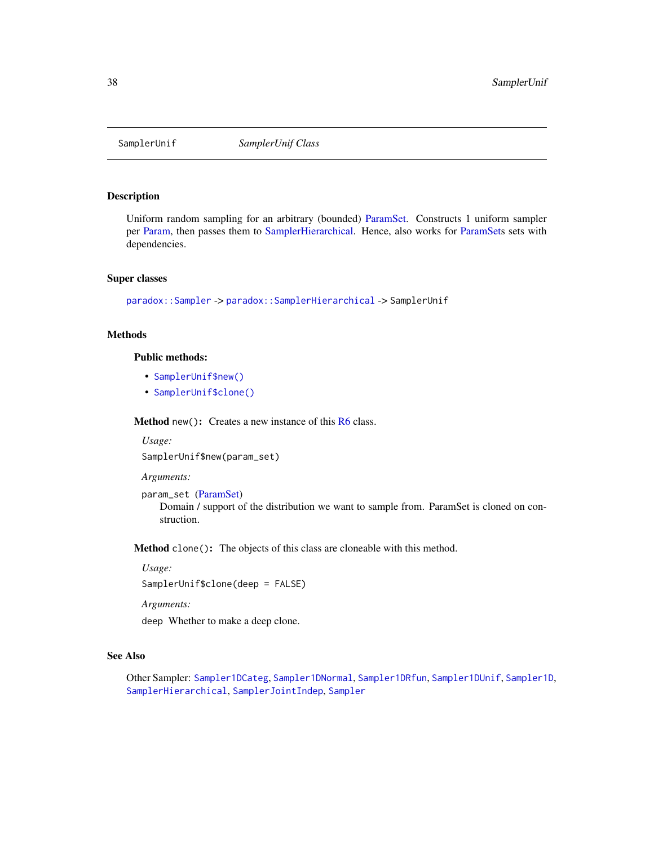<span id="page-37-1"></span><span id="page-37-0"></span>

#### Description

Uniform random sampling for an arbitrary (bounded) [ParamSet.](#page-19-1) Constructs 1 uniform sampler per [Param,](#page-9-1) then passes them to [SamplerHierarchical.](#page-35-1) Hence, also works for [ParamSets](#page-19-1) sets with dependencies.

#### Super classes

[paradox::Sampler](#page-0-0) -> [paradox::SamplerHierarchical](#page-0-0) -> SamplerUnif

# Methods

# Public methods:

- [SamplerUnif\\$new\(\)](#page-3-1)
- [SamplerUnif\\$clone\(\)](#page-4-4)

Method new(): Creates a new instance of this [R6](#page-0-0) class.

*Usage:* SamplerUnif\$new(param\_set)

*Arguments:*

param\_set [\(ParamSet\)](#page-19-1)

Domain / support of the distribution we want to sample from. ParamSet is cloned on construction.

Method clone(): The objects of this class are cloneable with this method.

*Usage:*

SamplerUnif\$clone(deep = FALSE)

*Arguments:*

deep Whether to make a deep clone.

# See Also

Other Sampler: [Sampler1DCateg](#page-31-1), [Sampler1DNormal](#page-32-1), [Sampler1DRfun](#page-33-1), [Sampler1DUnif](#page-34-1), [Sampler1D](#page-30-1), [SamplerHierarchical](#page-35-1), [SamplerJointIndep](#page-36-1), [Sampler](#page-29-2)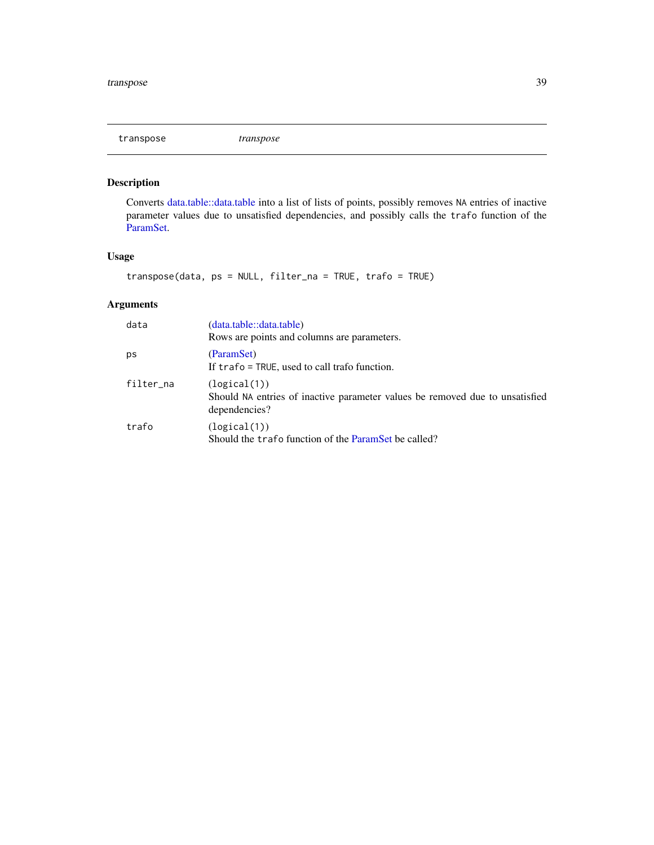<span id="page-38-0"></span>transpose *transpose*

# Description

Converts [data.table::data.table](#page-0-0) into a list of lists of points, possibly removes NA entries of inactive parameter values due to unsatisfied dependencies, and possibly calls the trafo function of the [ParamSet.](#page-19-1)

# Usage

transpose(data, ps = NULL, filter\_na = TRUE, trafo = TRUE)

# Arguments

| data      | (data.table::data.table)<br>Rows are points and columns are parameters.                                       |
|-----------|---------------------------------------------------------------------------------------------------------------|
| рs        | (ParamSet)<br>If $\text{traf}_0 = \text{TRUE}$ , used to call trafo function.                                 |
| filter_na | (logical(1))<br>Should NA entries of inactive parameter values be removed due to unsatisfied<br>dependencies? |
| trafo     | (logical(1))<br>Should the trafo function of the ParamSet be called?                                          |